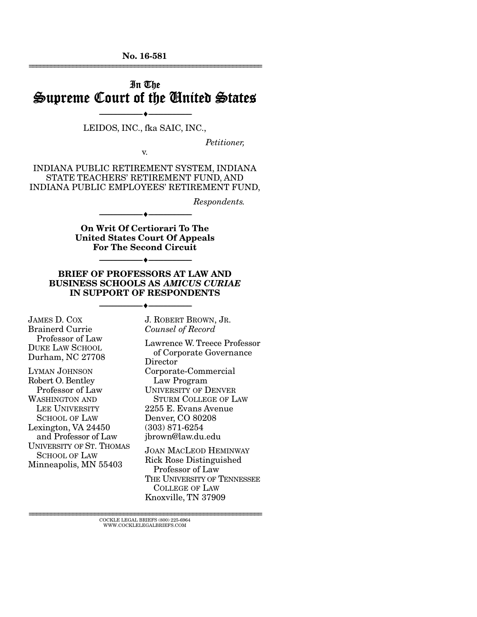No. 16-581 ================================================================

## In The Supreme Court of the United States

#### --------------------------------- --------------------------------- LEIDOS, INC., fka SAIC, INC.,

v.

*Petitioner,* 

INDIANA PUBLIC RETIREMENT SYSTEM, INDIANA STATE TEACHERS' RETIREMENT FUND, AND INDIANA PUBLIC EMPLOYEES' RETIREMENT FUND,

*Respondents.* 

On Writ Of Certiorari To The United States Court Of Appeals For The Second Circuit

--------------------------------- ---------------------------------

#### BRIEF OF PROFESSORS AT LAW AND BUSINESS SCHOOLS AS *AMICUS CURIAE* IN SUPPORT OF RESPONDENTS

--------------------------------- ---------------------------------

--------------------------------- ---------------------------------

JAMES D. COX Brainerd Currie Professor of Law DUKE LAW SCHOOL Durham, NC 27708

LYMAN JOHNSON Robert O. Bentley Professor of Law WASHINGTON AND LEE UNIVERSITY SCHOOL OF LAW Lexington, VA 24450 and Professor of Law UNIVERSITY OF ST. THOMAS SCHOOL OF LAW Minneapolis, MN 55403

J. ROBERT BROWN, JR. *Counsel of Record*

Lawrence W. Treece Professor of Corporate Governance **Director** Corporate-Commercial Law Program UNIVERSITY OF DENVER STURM COLLEGE OF LAW 2255 E. Evans Avenue Denver, CO 80208 (303) 871-6254 jbrown@law.du.edu JOAN MACLEOD HEMINWAY Rick Rose Distinguished Professor of Law THE UNIVERSITY OF TENNESSEE

 COLLEGE OF LAW Knoxville, TN 37909

 ${\rm COCKLE}$ LEGAL BRIEFS $(800)$  225-6964 WWW.COCKLELEGALBRIEFS.COM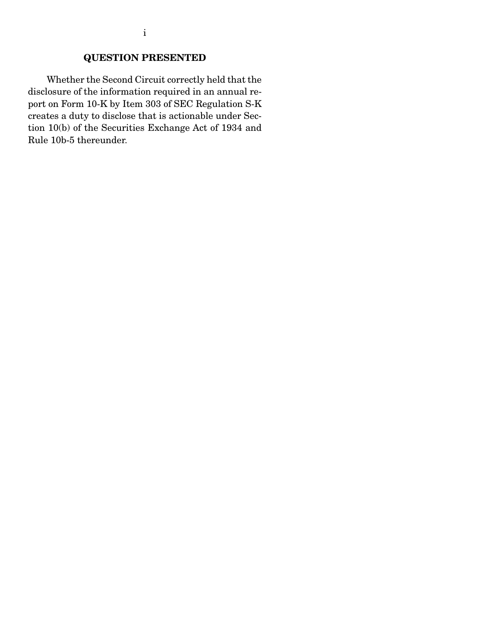### QUESTION PRESENTED

 Whether the Second Circuit correctly held that the disclosure of the information required in an annual report on Form 10-K by Item 303 of SEC Regulation S-K creates a duty to disclose that is actionable under Section 10(b) of the Securities Exchange Act of 1934 and Rule 10b-5 thereunder.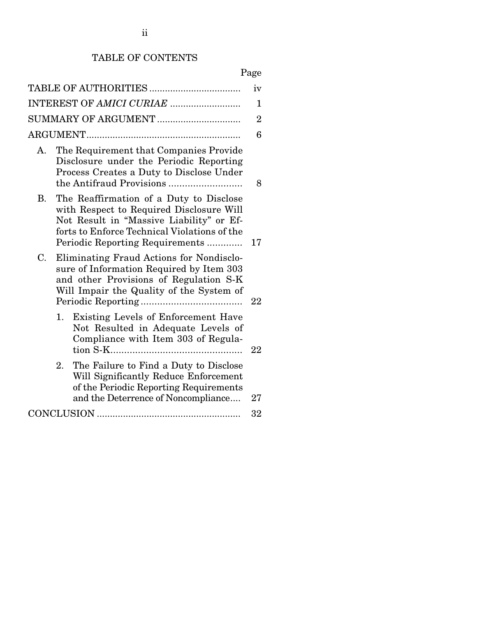## TABLE OF CONTENTS

# Page

|           |    |                                                                                                                                                                                                                    | iv             |
|-----------|----|--------------------------------------------------------------------------------------------------------------------------------------------------------------------------------------------------------------------|----------------|
|           |    | INTEREST OF AMICI CURIAE                                                                                                                                                                                           | $\mathbf 1$    |
|           |    | SUMMARY OF ARGUMENT                                                                                                                                                                                                | $\overline{2}$ |
|           |    |                                                                                                                                                                                                                    | 6              |
| Α.        |    | The Requirement that Companies Provide<br>Disclosure under the Periodic Reporting<br>Process Creates a Duty to Disclose Under                                                                                      | 8              |
| <b>B.</b> |    | The Reaffirmation of a Duty to Disclose<br>with Respect to Required Disclosure Will<br>Not Result in "Massive Liability" or Ef-<br>forts to Enforce Technical Violations of the<br>Periodic Reporting Requirements | 17             |
| C.        |    | Eliminating Fraud Actions for Nondisclo-<br>sure of Information Required by Item 303<br>and other Provisions of Regulation S-K<br>Will Impair the Quality of the System of                                         | 22             |
|           | 1. | Existing Levels of Enforcement Have<br>Not Resulted in Adequate Levels of<br>Compliance with Item 303 of Regula-                                                                                                   | 22             |
|           | 2. | The Failure to Find a Duty to Disclose<br>Will Significantly Reduce Enforcement<br>of the Periodic Reporting Requirements<br>and the Deterrence of Noncompliance                                                   | 27             |
|           |    |                                                                                                                                                                                                                    | 32             |
|           |    |                                                                                                                                                                                                                    |                |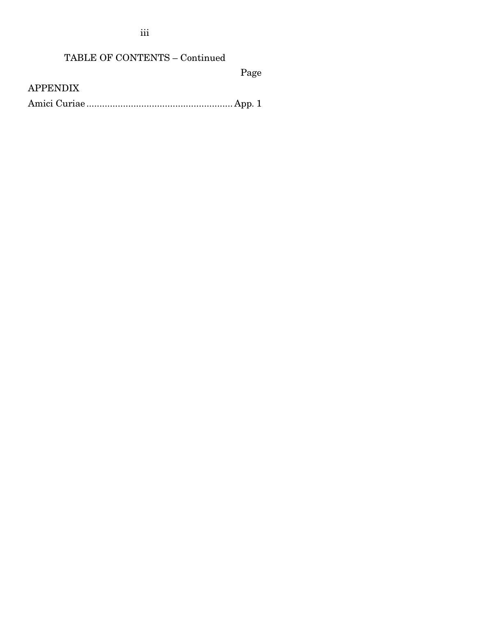iii

## TABLE OF CONTENTS – Continued

Page

APPENDIX

Amici Curiae ........................................................ App. 1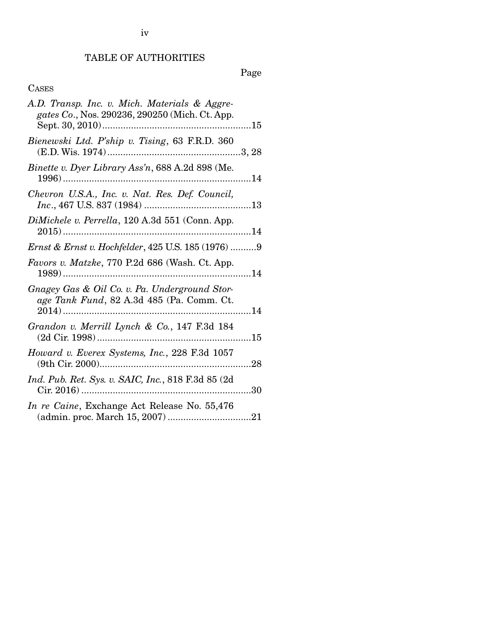### TABLE OF AUTHORITIES

Page

### CASES

| A.D. Transp. Inc. v. Mich. Materials & Aggre-<br>gates Co., Nos. 290236, 290250 (Mich. Ct. App. |  |
|-------------------------------------------------------------------------------------------------|--|
|                                                                                                 |  |
| Bienewski Ltd. P'ship v. Tising, 63 F.R.D. 360                                                  |  |
| Binette v. Dyer Library Ass'n, 688 A.2d 898 (Me.                                                |  |
| Chevron U.S.A., Inc. v. Nat. Res. Def. Council,                                                 |  |
| DiMichele v. Perrella, 120 A.3d 551 (Conn. App.                                                 |  |
| <i>Ernst &amp; Ernst v. Hochfelder</i> , 425 U.S. 185 (1976) 9                                  |  |
| Favors v. Matzke, 770 P.2d 686 (Wash. Ct. App.                                                  |  |
| Gnagey Gas & Oil Co. v. Pa. Underground Stor-<br>age Tank Fund, 82 A.3d 485 (Pa. Comm. Ct.      |  |
| Grandon v. Merrill Lynch & Co., 147 F.3d 184                                                    |  |
| Howard v. Everex Systems, Inc., 228 F.3d 1057                                                   |  |
| Ind. Pub. Ret. Sys. v. SAIC, Inc., 818 F.3d 85 (2d                                              |  |
| In re Caine, Exchange Act Release No. 55,476                                                    |  |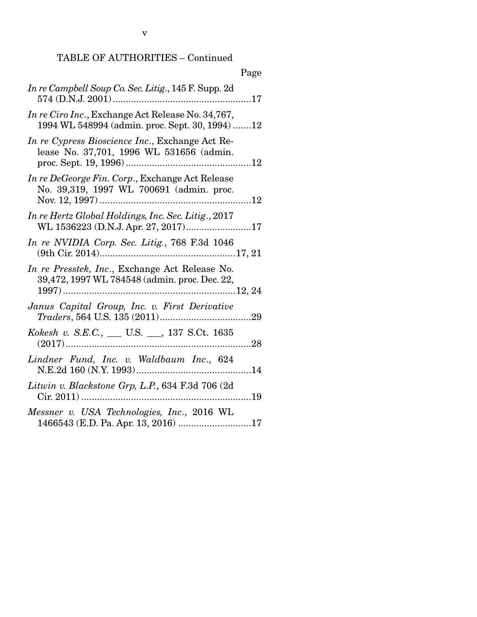|                                                                                                      | Page |
|------------------------------------------------------------------------------------------------------|------|
| In re Campbell Soup Co. Sec. Litig., 145 F. Supp. 2d                                                 |      |
| In re Ciro Inc., Exchange Act Release No. 34,767,<br>1994 WL 548994 (admin. proc. Sept. 30, 1994) 12 |      |
| In re Cypress Bioscience Inc., Exchange Act Re-<br>lease No. 37,701, 1996 WL 531656 (admin.          |      |
| In re DeGeorge Fin. Corp., Exchange Act Release<br>No. 39,319, 1997 WL 700691 (admin. proc.          |      |
| In re Hertz Global Holdings, Inc. Sec. Litig., 2017<br>WL 1536223 (D.N.J. Apr. 27, 2017)17           |      |
| In re NVIDIA Corp. Sec. Litig., 768 F.3d 1046                                                        |      |
| In re Presstek, Inc., Exchange Act Release No.<br>39,472, 1997 WL 784548 (admin. proc. Dec. 22,      |      |
| Janus Capital Group, Inc. v. First Derivative                                                        |      |
| Kokesh v. S.E.C., ___ U.S. ___, 137 S.Ct. 1635                                                       |      |
| Lindner Fund, Inc. v. Waldbaum Inc., 624                                                             |      |
| Litwin v. Blackstone Grp, L.P., 634 F.3d 706 (2d                                                     | . 19 |
| Messner v. USA Technologies, Inc., 2016 WL<br>1466543 (E.D. Pa. Apr. 13, 2016) 17                    |      |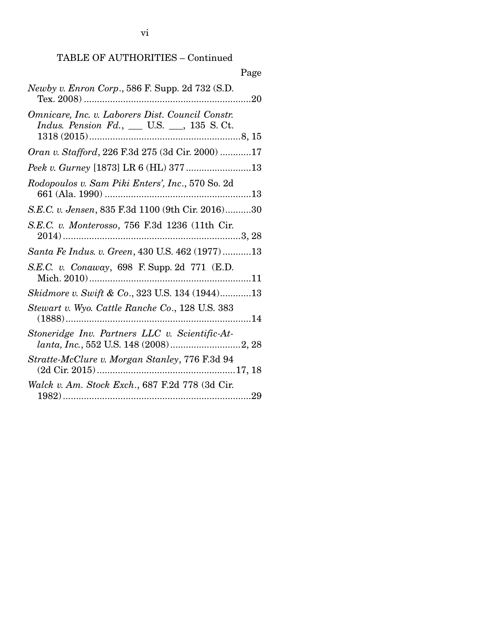| Page                                                                                                   |
|--------------------------------------------------------------------------------------------------------|
| Newby v. Enron Corp., 586 F. Supp. 2d 732 (S.D.                                                        |
| Omnicare, Inc. v. Laborers Dist. Council Constr.<br><i>Indus. Pension Fd.</i> , __ U.S. __, 135 S. Ct. |
| Oran v. Stafford, 226 F.3d 275 (3d Cir. 2000) 17                                                       |
|                                                                                                        |
| Rodopoulos v. Sam Piki Enters', Inc., 570 So. 2d                                                       |
| S.E.C. v. Jensen, 835 F.3d 1100 (9th Cir. 2016)30                                                      |
| S.E.C. v. Monterosso, 756 F.3d 1236 (11th Cir.                                                         |
| Santa Fe Indus. v. Green, 430 U.S. 462 (1977)13                                                        |
| S.E.C. v. Conaway, 698 F. Supp. 2d 771 (E.D.                                                           |
| Skidmore v. Swift & Co., 323 U.S. 134 (1944)13                                                         |
| Stewart v. Wyo. Cattle Ranche Co., 128 U.S. 383                                                        |
| Stoneridge Inv. Partners LLC v. Scientific-At-                                                         |
| Stratte-McClure v. Morgan Stanley, 776 F.3d 94                                                         |
| Walck v. Am. Stock Exch., 687 F.2d 778 (3d Cir.                                                        |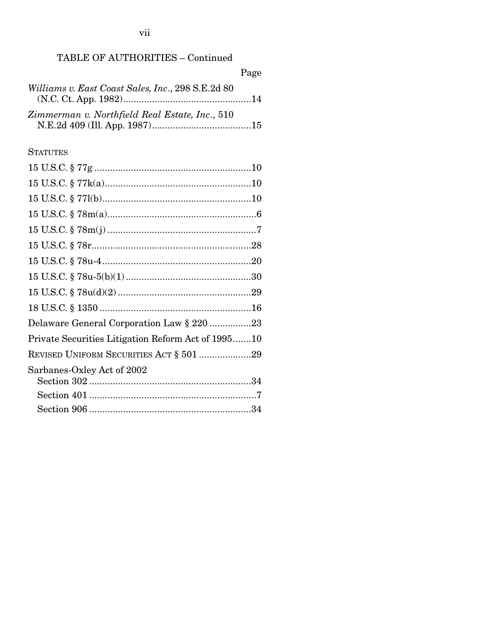|                                                   | Page |
|---------------------------------------------------|------|
| Williams v. East Coast Sales, Inc., 298 S.E.2d 80 |      |
|                                                   |      |
| Zimmerman v. Northfield Real Estate, Inc., 510    |      |
|                                                   |      |

## **STATUTES**

| Delaware General Corporation Law § 220 23          |
|----------------------------------------------------|
| Private Securities Litigation Reform Act of 199510 |
| REVISED UNIFORM SECURITIES ACT § 501 29            |
| Sarbanes-Oxley Act of 2002                         |
|                                                    |
|                                                    |
|                                                    |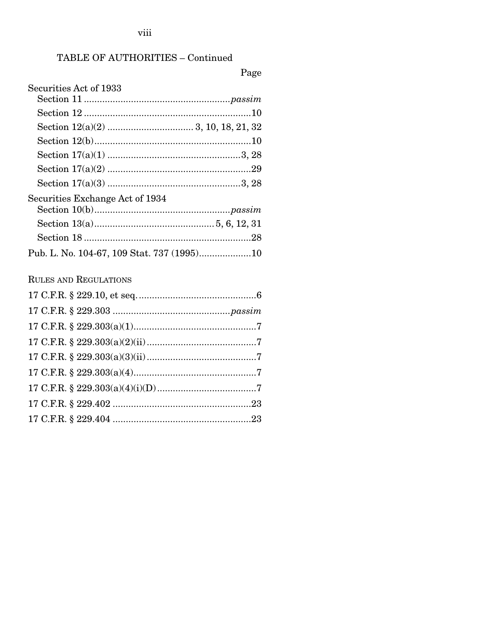$_{\rm viii}$ 

## TABLE OF AUTHORITIES - Continued

# Page

| Securities Act of 1933          |  |
|---------------------------------|--|
|                                 |  |
|                                 |  |
|                                 |  |
|                                 |  |
|                                 |  |
|                                 |  |
|                                 |  |
| Securities Exchange Act of 1934 |  |
|                                 |  |
|                                 |  |
|                                 |  |
|                                 |  |
| <b>RULES AND REGULATIONS</b>    |  |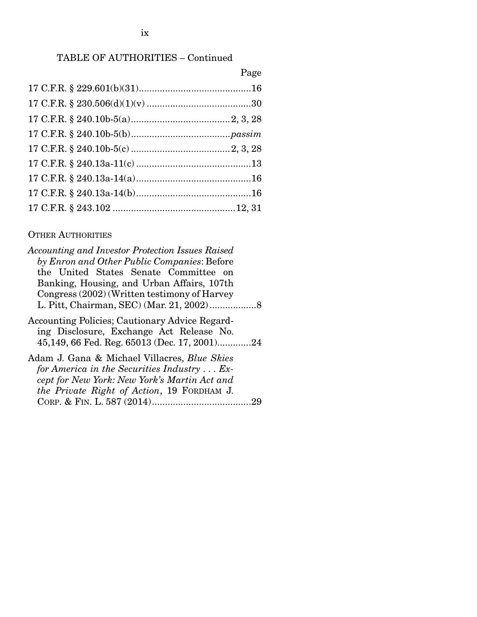| Page |
|------|
|      |
|      |
|      |
|      |
|      |
|      |
|      |
|      |
|      |

### OTHER AUTHORITIES

| Accounting and Investor Protection Issues Raised                                                                                                          |  |
|-----------------------------------------------------------------------------------------------------------------------------------------------------------|--|
| by Enron and Other Public Companies: Before                                                                                                               |  |
| the United States Senate Committee on                                                                                                                     |  |
| Banking, Housing, and Urban Affairs, 107th                                                                                                                |  |
| Congress (2002) (Written testimony of Harvey                                                                                                              |  |
|                                                                                                                                                           |  |
| Accounting Policies; Cautionary Advice Regard-<br>ing Disclosure, Exchange Act Release No.<br>45,149, 66 Fed. Reg. 65013 (Dec. 17, 2001)24                |  |
| Adam J. Gana & Michael Villacres, <i>Blue Skies</i><br>for America in the Securities Industry $\dots$ Ex-<br>cept for New York: New York's Martin Act and |  |
| the Private Right of Action, 19 FORDHAM J.                                                                                                                |  |
|                                                                                                                                                           |  |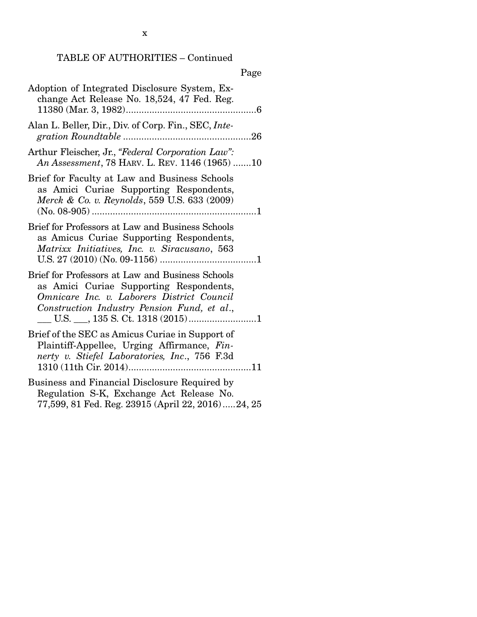|--|

| Adoption of Integrated Disclosure System, Ex-<br>change Act Release No. 18,524, 47 Fed. Reg.                                                                                             |  |
|------------------------------------------------------------------------------------------------------------------------------------------------------------------------------------------|--|
| Alan L. Beller, Dir., Div. of Corp. Fin., SEC, Inte-                                                                                                                                     |  |
| Arthur Fleischer, Jr., "Federal Corporation Law":<br>An Assessment, 78 HARV. L. REV. 1146 (1965) 10                                                                                      |  |
| Brief for Faculty at Law and Business Schools<br>as Amici Curiae Supporting Respondents,<br>Merck & Co. v. Reynolds, 559 U.S. 633 (2009)                                                 |  |
| Brief for Professors at Law and Business Schools<br>as Amicus Curiae Supporting Respondents,<br>Matrixx Initiatives, Inc. v. Siracusano, 563                                             |  |
| Brief for Professors at Law and Business Schools<br>as Amici Curiae Supporting Respondents,<br>Omnicare Inc. v. Laborers District Council<br>Construction Industry Pension Fund, et al., |  |
| Brief of the SEC as Amicus Curiae in Support of<br>Plaintiff-Appellee, Urging Affirmance, Fin-<br>nerty v. Stiefel Laboratories, Inc., 756 F.3d                                          |  |
| Business and Financial Disclosure Required by<br>Regulation S-K, Exchange Act Release No.<br>77,599, 81 Fed. Reg. 23915 (April 22, 2016)24, 25                                           |  |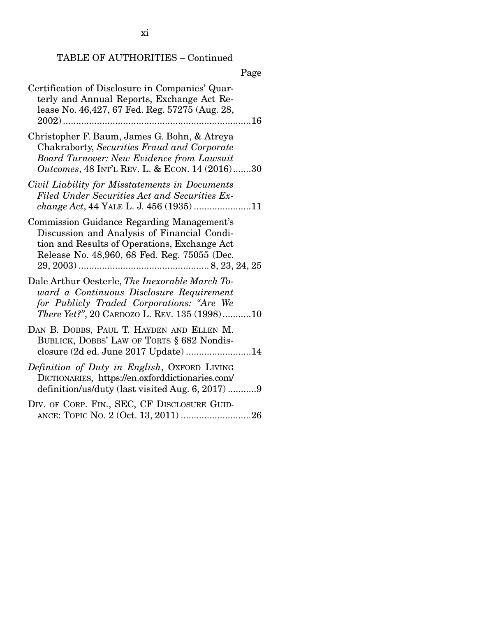|--|

| Certification of Disclosure in Companies' Quar-<br>terly and Annual Reports, Exchange Act Re-<br>lease No. 46,427, 67 Fed. Reg. 57275 (Aug. 28,                                                           |
|-----------------------------------------------------------------------------------------------------------------------------------------------------------------------------------------------------------|
| Christopher F. Baum, James G. Bohn, & Atreya<br>Chakraborty, Securities Fraud and Corporate<br><b>Board Turnover: New Evidence from Lawsuit</b><br><i>Outcomes</i> , 48 INT'L REV. L. & ECON. 14 (2016)30 |
| Civil Liability for Misstatements in Documents<br>Filed Under Securities Act and Securities Ex-<br>change Act, 44 YALE L. J. 456 (1935)11                                                                 |
| Commission Guidance Regarding Management's<br>Discussion and Analysis of Financial Condi-<br>tion and Results of Operations, Exchange Act<br>Release No. 48,960, 68 Fed. Reg. 75055 (Dec.                 |
| Dale Arthur Oesterle, The Inexorable March To-<br>ward a Continuous Disclosure Requirement<br>for Publicly Traded Corporations: "Are We<br>There Yet?", 20 CARDOZO L. REV. 135 (1998)10                   |
| DAN B. DOBBS, PAUL T. HAYDEN AND ELLEN M.<br>BUBLICK, DOBBS' LAW OF TORTS § 682 Nondis-<br>closure (2d ed. June 2017 Update) 14                                                                           |
| Definition of Duty in English, OXFORD LIVING<br>DICTIONARIES, https://en.oxforddictionaries.com/<br>definition/us/duty (last visited Aug. 6, 2017) 9                                                      |
| DIV. OF CORP. FIN., SEC, CF DISCLOSURE GUID-                                                                                                                                                              |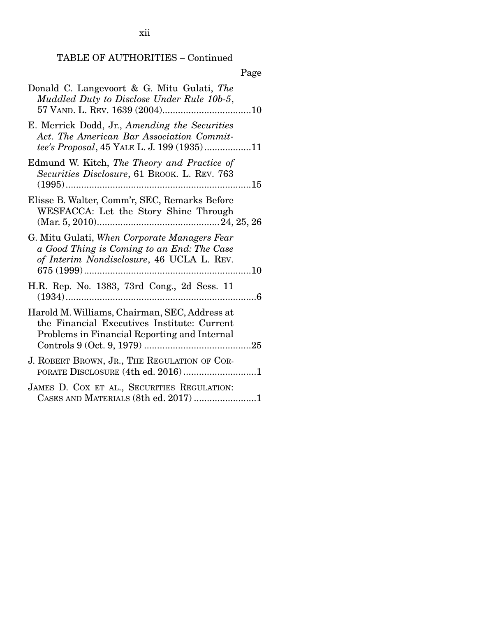xii

# Page

| Donald C. Langevoort & G. Mitu Gulati, The<br>Muddled Duty to Disclose Under Rule 10b-5,                                                     |
|----------------------------------------------------------------------------------------------------------------------------------------------|
| E. Merrick Dodd, Jr., Amending the Securities<br>Act. The American Bar Association Commit-<br>tee's Proposal, 45 YALE L. J. 199 (1935)11     |
| Edmund W. Kitch, The Theory and Practice of<br>Securities Disclosure, 61 BROOK. L. REV. 763                                                  |
| Elisse B. Walter, Comm'r, SEC, Remarks Before<br>WESFACCA: Let the Story Shine Through                                                       |
| G. Mitu Gulati, When Corporate Managers Fear<br>a Good Thing is Coming to an End: The Case<br>of Interim Nondisclosure, 46 UCLA L. REV.      |
| H.R. Rep. No. 1383, 73rd Cong., 2d Sess. 11                                                                                                  |
| Harold M. Williams, Chairman, SEC, Address at<br>the Financial Executives Institute: Current<br>Problems in Financial Reporting and Internal |
| J. ROBERT BROWN, JR., THE REGULATION OF COR-                                                                                                 |
| JAMES D. COX ET AL., SECURITIES REGULATION:<br>CASES AND MATERIALS (8th ed. 2017) 1                                                          |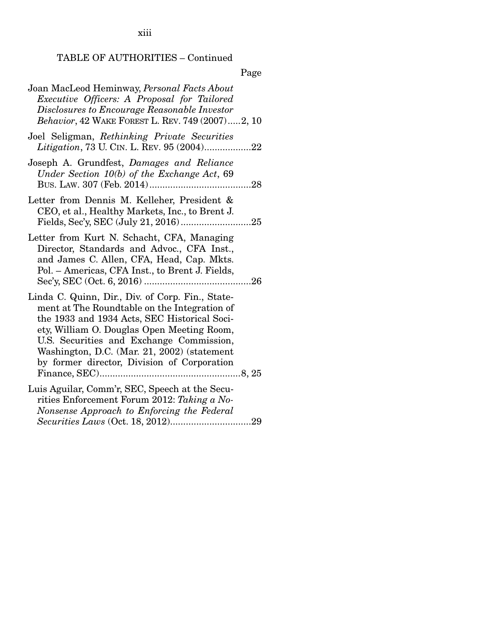xiii

## TABLE OF AUTHORITIES – Continued

Page

| Joan MacLeod Heminway, Personal Facts About<br>Executive Officers: A Proposal for Tailored<br>Disclosures to Encourage Reasonable Investor<br>Behavior, 42 WAKE FOREST L. REV. 749 (2007)2, 10                                                                                                                                           |
|------------------------------------------------------------------------------------------------------------------------------------------------------------------------------------------------------------------------------------------------------------------------------------------------------------------------------------------|
| Joel Seligman, Rethinking Private Securities<br>Litigation, 73 U. CIN. L. REV. 95 (2004)22                                                                                                                                                                                                                                               |
| Joseph A. Grundfest, Damages and Reliance<br>Under Section $10(b)$ of the Exchange Act, 69<br>.28                                                                                                                                                                                                                                        |
| Letter from Dennis M. Kelleher, President &<br>CEO, et al., Healthy Markets, Inc., to Brent J.                                                                                                                                                                                                                                           |
| Letter from Kurt N. Schacht, CFA, Managing<br>Director, Standards and Advoc., CFA Inst.,<br>and James C. Allen, CFA, Head, Cap. Mkts.<br>Pol. – Americas, CFA Inst., to Brent J. Fields,                                                                                                                                                 |
| Linda C. Quinn, Dir., Div. of Corp. Fin., State-<br>ment at The Roundtable on the Integration of<br>the 1933 and 1934 Acts, SEC Historical Soci-<br>ety, William O. Douglas Open Meeting Room,<br>U.S. Securities and Exchange Commission,<br>Washington, D.C. (Mar. 21, 2002) (statement<br>by former director, Division of Corporation |
| Luis Aguilar, Comm'r, SEC, Speech at the Secu-<br>rities Enforcement Forum 2012: Taking a No-<br>Nonsense Approach to Enforcing the Federal                                                                                                                                                                                              |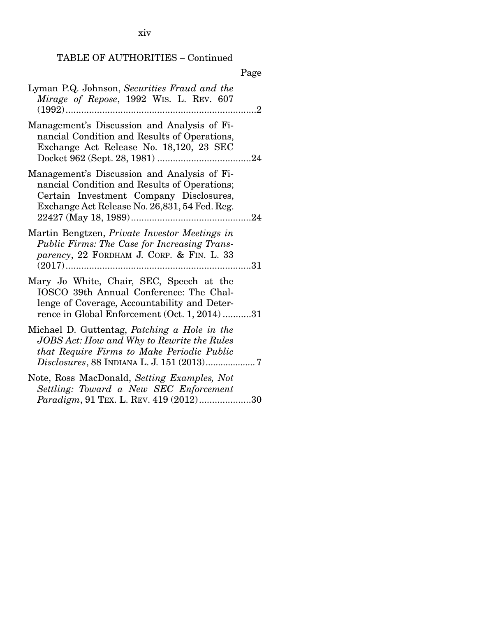xiv

## TABLE OF AUTHORITIES – Continued

|                                                                                                                                                                                         | Page |
|-----------------------------------------------------------------------------------------------------------------------------------------------------------------------------------------|------|
| Lyman P.Q. Johnson, Securities Fraud and the<br>Mirage of Repose, 1992 WIS. L. REV. 607<br>$(1992)$<br>.<br>.                                                                           | . 2  |
| Management's Discussion and Analysis of Fi-<br>nancial Condition and Results of Operations,<br>Exchange Act Release No. 18,120, 23 SEC                                                  |      |
| Management's Discussion and Analysis of Fi-<br>nancial Condition and Results of Operations;<br>Certain Investment Company Disclosures,<br>Exchange Act Release No. 26,831, 54 Fed. Reg. |      |
| Martin Bengtzen, Private Investor Meetings in<br>Public Firms: The Case for Increasing Trans-<br>parency, 22 FORDHAM J. CORP. & FIN. L. 33                                              |      |
| Mary Jo White, Chair, SEC, Speech at the<br>IOSCO 39th Annual Conference: The Chal-<br>lenge of Coverage, Accountability and Deter-<br>rence in Global Enforcement (Oct. 1, 2014)31     |      |
| Michael D. Guttentag, Patching a Hole in the<br>JOBS Act: How and Why to Rewrite the Rules<br>that Require Firms to Make Periodic Public                                                |      |
| Note, Ross MacDonald, Setting Examples, Not<br>Settling: Toward a New SEC Enforcement<br>Paradigm, 91 TEX. L. REV. 419 (2012)30                                                         |      |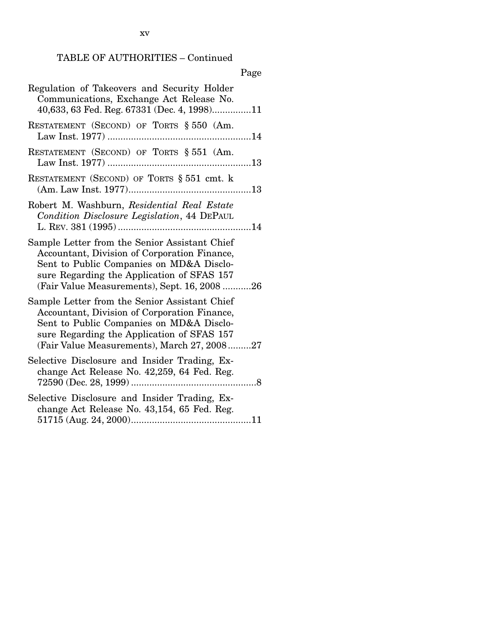xv

| L<br>× |
|--------|
|--------|

| Regulation of Takeovers and Security Holder<br>Communications, Exchange Act Release No.<br>40,633, 63 Fed. Reg. 67331 (Dec. 4, 1998)11                                                                                                  |
|-----------------------------------------------------------------------------------------------------------------------------------------------------------------------------------------------------------------------------------------|
| RESTATEMENT (SECOND) OF TORTS § 550 (Am.                                                                                                                                                                                                |
| RESTATEMENT (SECOND) OF TORTS § 551 (Am.                                                                                                                                                                                                |
| RESTATEMENT (SECOND) OF TORTS § 551 cmt. k                                                                                                                                                                                              |
| Robert M. Washburn, Residential Real Estate<br>Condition Disclosure Legislation, 44 DEPAUL                                                                                                                                              |
| Sample Letter from the Senior Assistant Chief<br>Accountant, Division of Corporation Finance,<br>Sent to Public Companies on MD&A Disclo-<br>sure Regarding the Application of SFAS 157<br>(Fair Value Measurements), Sept. 16, 2008 26 |
| Sample Letter from the Senior Assistant Chief<br>Accountant, Division of Corporation Finance,<br>Sent to Public Companies on MD&A Disclo-<br>sure Regarding the Application of SFAS 157<br>(Fair Value Measurements), March 27, 200827  |
| Selective Disclosure and Insider Trading, Ex-<br>change Act Release No. 42,259, 64 Fed. Reg.                                                                                                                                            |
| Selective Disclosure and Insider Trading, Ex-<br>change Act Release No. 43,154, 65 Fed. Reg.                                                                                                                                            |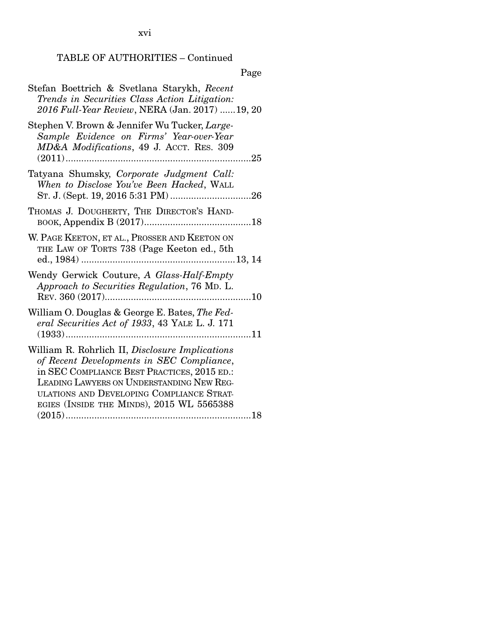xvi

## TABLE OF AUTHORITIES – Continued

Page

| Stefan Boettrich & Svetlana Starykh, Recent<br>Trends in Securities Class Action Litigation:<br>2016 Full-Year Review, NERA (Jan. 2017) 19, 20                                                                                                                                     |
|------------------------------------------------------------------------------------------------------------------------------------------------------------------------------------------------------------------------------------------------------------------------------------|
| Stephen V. Brown & Jennifer Wu Tucker, Large-<br>Sample Evidence on Firms' Year-over-Year<br>MD&A Modifications, 49 J. ACCT. RES. 309<br>.                                                                                                                                         |
| Tatyana Shumsky, Corporate Judgment Call:<br>When to Disclose You've Been Hacked, WALL                                                                                                                                                                                             |
| THOMAS J. DOUGHERTY, THE DIRECTOR'S HAND-                                                                                                                                                                                                                                          |
| W. PAGE KEETON, ET AL., PROSSER AND KEETON ON<br>THE LAW OF TORTS 738 (Page Keeton ed., 5th                                                                                                                                                                                        |
| Wendy Gerwick Couture, A Glass-Half-Empty<br>Approach to Securities Regulation, 76 MD. L.                                                                                                                                                                                          |
| William O. Douglas & George E. Bates, The Fed-<br>eral Securities Act of 1933, 43 YALE L. J. 171                                                                                                                                                                                   |
| William R. Rohrlich II, Disclosure Implications<br>of Recent Developments in SEC Compliance,<br>in SEC COMPLIANCE BEST PRACTICES, 2015 ED.:<br>LEADING LAWYERS ON UNDERSTANDING NEW REG-<br>ULATIONS AND DEVELOPING COMPLIANCE STRAT-<br>EGIES (INSIDE THE MINDS), 2015 WL 5565388 |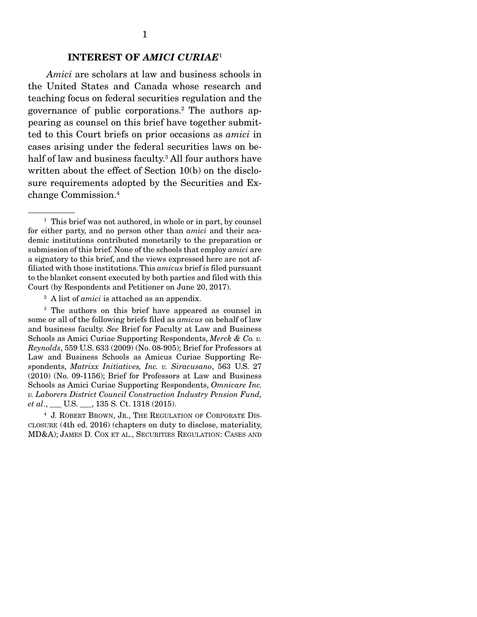#### INTEREST OF *AMICI CURIAE*<sup>1</sup>

 *Amici* are scholars at law and business schools in the United States and Canada whose research and teaching focus on federal securities regulation and the governance of public corporations.2 The authors appearing as counsel on this brief have together submitted to this Court briefs on prior occasions as *amici* in cases arising under the federal securities laws on behalf of law and business faculty.3 All four authors have written about the effect of Section 10(b) on the disclosure requirements adopted by the Securities and Exchange Commission.4

<sup>&</sup>lt;sup>1</sup> This brief was not authored, in whole or in part, by counsel for either party, and no person other than *amici* and their academic institutions contributed monetarily to the preparation or submission of this brief. None of the schools that employ *amici* are a signatory to this brief, and the views expressed here are not affiliated with those institutions. This *amicus* brief is filed pursuant to the blanket consent executed by both parties and filed with this Court (by Respondents and Petitioner on June 20, 2017).

<sup>2</sup> A list of *amici* is attached as an appendix.

<sup>&</sup>lt;sup>3</sup> The authors on this brief have appeared as counsel in some or all of the following briefs filed as *amicus* on behalf of law and business faculty. *See* Brief for Faculty at Law and Business Schools as Amici Curiae Supporting Respondents, *Merck & Co. v. Reynolds*, 559 U.S. 633 (2009) (No. 08-905); Brief for Professors at Law and Business Schools as Amicus Curiae Supporting Respondents, *Matrixx Initiatives, Inc. v. Siracusano*, 563 U.S. 27 (2010) (No. 09-1156); Brief for Professors at Law and Business Schools as Amici Curiae Supporting Respondents, *Omnicare Inc. v. Laborers District Council Construction Industry Pension Fund, et al*., \_\_\_ U.S. \_\_\_, 135 S. Ct. 1318 (2015).

<sup>4</sup> J. ROBERT BROWN, JR., THE REGULATION OF CORPORATE DIS-CLOSURE (4th ed. 2016) (chapters on duty to disclose, materiality, MD&A); JAMES D. COX ET AL., SECURITIES REGULATION: CASES AND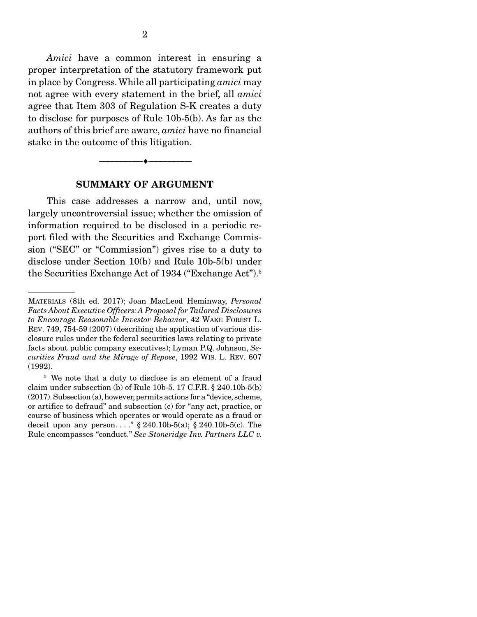*Amici* have a common interest in ensuring a proper interpretation of the statutory framework put in place by Congress. While all participating *amici* may not agree with every statement in the brief, all *amici* agree that Item 303 of Regulation S-K creates a duty to disclose for purposes of Rule 10b-5(b). As far as the authors of this brief are aware, *amici* have no financial stake in the outcome of this litigation.

# --------------------------------- ---------------------------------

#### SUMMARY OF ARGUMENT

 This case addresses a narrow and, until now, largely uncontroversial issue; whether the omission of information required to be disclosed in a periodic report filed with the Securities and Exchange Commission ("SEC" or "Commission") gives rise to a duty to disclose under Section 10(b) and Rule 10b-5(b) under the Securities Exchange Act of 1934 ("Exchange Act").<sup>5</sup>

MATERIALS (8th ed. 2017); Joan MacLeod Heminway, *Personal Facts About Executive Officers: A Proposal for Tailored Disclosures to Encourage Reasonable Investor Behavior*, 42 WAKE FOREST L. REV. 749, 754-59 (2007) (describing the application of various disclosure rules under the federal securities laws relating to private facts about public company executives); Lyman P.Q. Johnson, *Securities Fraud and the Mirage of Repose*, 1992 WIS. L. REV. 607 (1992).

<sup>&</sup>lt;sup>5</sup> We note that a duty to disclose is an element of a fraud claim under subsection (b) of Rule 10b-5. 17 C.F.R. § 240.10b-5(b) (2017). Subsection (a), however, permits actions for a "device, scheme, or artifice to defraud" and subsection (c) for "any act, practice, or course of business which operates or would operate as a fraud or deceit upon any person. . . . .  $\frac{8}{9}$  240.10b-5(a); § 240.10b-5(c). The Rule encompasses "conduct." *See Stoneridge Inv. Partners LLC v.*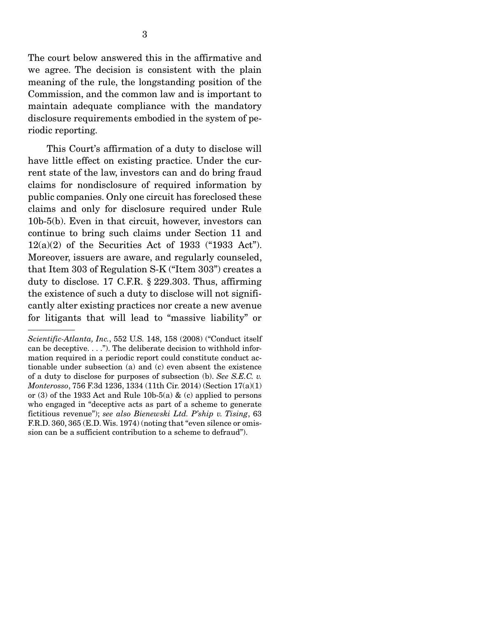The court below answered this in the affirmative and we agree. The decision is consistent with the plain meaning of the rule, the longstanding position of the Commission, and the common law and is important to maintain adequate compliance with the mandatory disclosure requirements embodied in the system of periodic reporting.

 This Court's affirmation of a duty to disclose will have little effect on existing practice. Under the current state of the law, investors can and do bring fraud claims for nondisclosure of required information by public companies. Only one circuit has foreclosed these claims and only for disclosure required under Rule 10b-5(b). Even in that circuit, however, investors can continue to bring such claims under Section 11 and  $12(a)(2)$  of the Securities Act of 1933 ("1933 Act"). Moreover, issuers are aware, and regularly counseled, that Item 303 of Regulation S-K ("Item 303") creates a duty to disclose. 17 C.F.R. § 229.303. Thus, affirming the existence of such a duty to disclose will not significantly alter existing practices nor create a new avenue for litigants that will lead to "massive liability" or

*Scientific-Atlanta, Inc.*, 552 U.S. 148, 158 (2008) ("Conduct itself can be deceptive. . . ."). The deliberate decision to withhold information required in a periodic report could constitute conduct actionable under subsection (a) and (c) even absent the existence of a duty to disclose for purposes of subsection (b). *See S.E.C. v. Monterosso*, 756 F.3d 1236, 1334 (11th Cir. 2014) (Section 17(a)(1) or (3) of the 1933 Act and Rule 10b-5(a)  $\&$  (c) applied to persons who engaged in "deceptive acts as part of a scheme to generate fictitious revenue"); *see also Bienewski Ltd. P'ship v. Tising*, 63 F.R.D. 360, 365 (E.D. Wis. 1974) (noting that "even silence or omission can be a sufficient contribution to a scheme to defraud").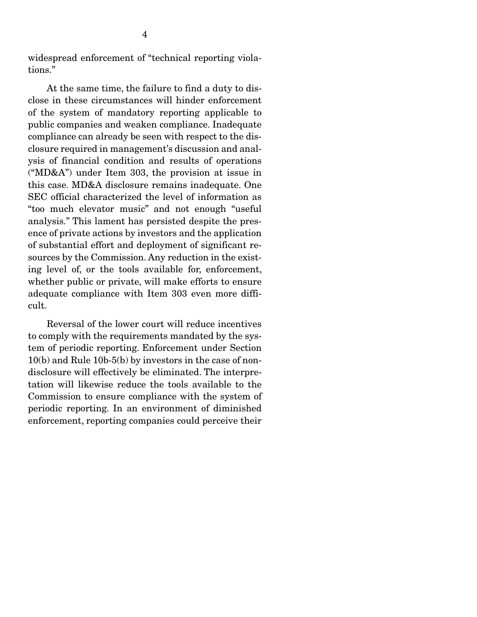widespread enforcement of "technical reporting violations."

 At the same time, the failure to find a duty to disclose in these circumstances will hinder enforcement of the system of mandatory reporting applicable to public companies and weaken compliance. Inadequate compliance can already be seen with respect to the disclosure required in management's discussion and analysis of financial condition and results of operations ("MD&A") under Item 303, the provision at issue in this case. MD&A disclosure remains inadequate. One SEC official characterized the level of information as "too much elevator music" and not enough "useful analysis." This lament has persisted despite the presence of private actions by investors and the application of substantial effort and deployment of significant resources by the Commission. Any reduction in the existing level of, or the tools available for, enforcement, whether public or private, will make efforts to ensure adequate compliance with Item 303 even more difficult.

 Reversal of the lower court will reduce incentives to comply with the requirements mandated by the system of periodic reporting. Enforcement under Section 10(b) and Rule 10b-5(b) by investors in the case of nondisclosure will effectively be eliminated. The interpretation will likewise reduce the tools available to the Commission to ensure compliance with the system of periodic reporting. In an environment of diminished enforcement, reporting companies could perceive their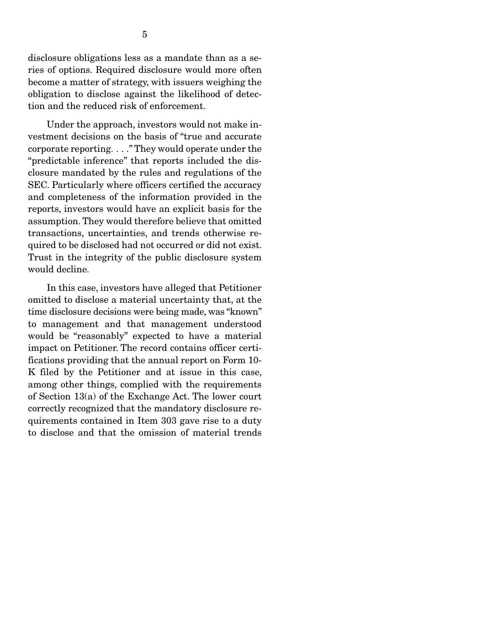disclosure obligations less as a mandate than as a series of options. Required disclosure would more often become a matter of strategy, with issuers weighing the obligation to disclose against the likelihood of detection and the reduced risk of enforcement.

 Under the approach, investors would not make investment decisions on the basis of "true and accurate corporate reporting. . . ." They would operate under the "predictable inference" that reports included the disclosure mandated by the rules and regulations of the SEC. Particularly where officers certified the accuracy and completeness of the information provided in the reports, investors would have an explicit basis for the assumption. They would therefore believe that omitted transactions, uncertainties, and trends otherwise required to be disclosed had not occurred or did not exist. Trust in the integrity of the public disclosure system would decline.

 In this case, investors have alleged that Petitioner omitted to disclose a material uncertainty that, at the time disclosure decisions were being made, was "known" to management and that management understood would be "reasonably" expected to have a material impact on Petitioner. The record contains officer certifications providing that the annual report on Form 10- K filed by the Petitioner and at issue in this case, among other things, complied with the requirements of Section 13(a) of the Exchange Act. The lower court correctly recognized that the mandatory disclosure requirements contained in Item 303 gave rise to a duty to disclose and that the omission of material trends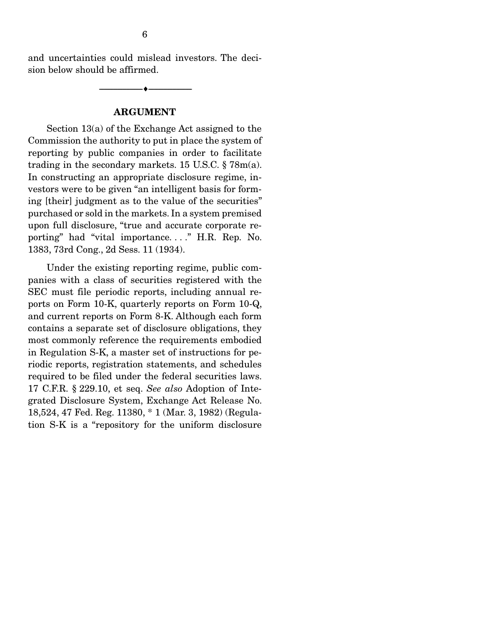and uncertainties could mislead investors. The decision below should be affirmed.

#### ARGUMENT

--------------------------------- ---------------------------------

 Section 13(a) of the Exchange Act assigned to the Commission the authority to put in place the system of reporting by public companies in order to facilitate trading in the secondary markets. 15 U.S.C. § 78m(a). In constructing an appropriate disclosure regime, investors were to be given "an intelligent basis for forming [their] judgment as to the value of the securities" purchased or sold in the markets. In a system premised upon full disclosure, "true and accurate corporate reporting" had "vital importance. . . ." H.R. Rep. No. 1383, 73rd Cong., 2d Sess. 11 (1934).

 Under the existing reporting regime, public companies with a class of securities registered with the SEC must file periodic reports, including annual reports on Form 10-K, quarterly reports on Form 10-Q, and current reports on Form 8-K. Although each form contains a separate set of disclosure obligations, they most commonly reference the requirements embodied in Regulation S-K, a master set of instructions for periodic reports, registration statements, and schedules required to be filed under the federal securities laws. 17 C.F.R. § 229.10, et seq. *See also* Adoption of Integrated Disclosure System, Exchange Act Release No. 18,524, 47 Fed. Reg. 11380, \* 1 (Mar. 3, 1982) (Regulation S-K is a "repository for the uniform disclosure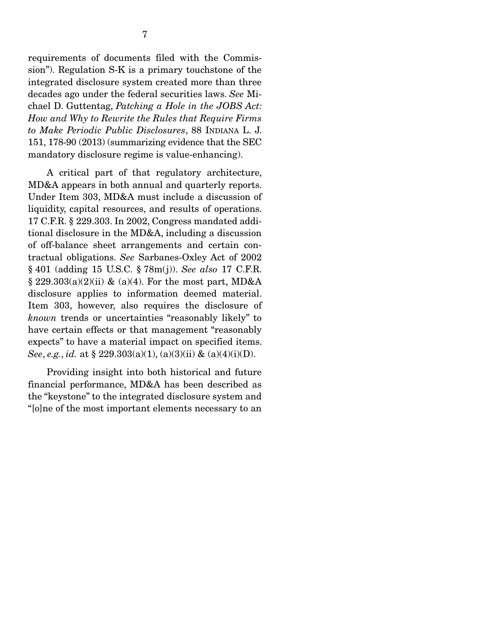requirements of documents filed with the Commission"). Regulation S-K is a primary touchstone of the integrated disclosure system created more than three decades ago under the federal securities laws. *See* Michael D. Guttentag, *Patching a Hole in the JOBS Act: How and Why to Rewrite the Rules that Require Firms to Make Periodic Public Disclosures*, 88 INDIANA L. J. 151, 178-90 (2013) (summarizing evidence that the SEC mandatory disclosure regime is value-enhancing).

 A critical part of that regulatory architecture, MD&A appears in both annual and quarterly reports. Under Item 303, MD&A must include a discussion of liquidity, capital resources, and results of operations. 17 C.F.R. § 229.303. In 2002, Congress mandated additional disclosure in the MD&A, including a discussion of off-balance sheet arrangements and certain contractual obligations. *See* Sarbanes-Oxley Act of 2002 § 401 (adding 15 U.S.C. § 78m(j)). *See also* 17 C.F.R.  $\S 229.303(a)(2)(ii)$  & (a)(4). For the most part, MD&A disclosure applies to information deemed material. Item 303, however, also requires the disclosure of *known* trends or uncertainties "reasonably likely" to have certain effects or that management "reasonably expects" to have a material impact on specified items. *See*, *e.g.*, *id.* at § 229.303(a)(1), (a)(3)(ii) & (a)(4)(i)(D).

 Providing insight into both historical and future financial performance, MD&A has been described as the "keystone" to the integrated disclosure system and "[o]ne of the most important elements necessary to an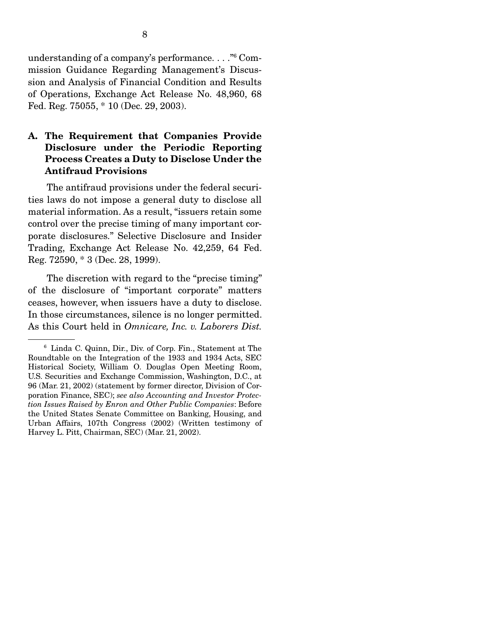understanding of a company's performance. . . ."6 Commission Guidance Regarding Management's Discussion and Analysis of Financial Condition and Results of Operations, Exchange Act Release No. 48,960, 68 Fed. Reg. 75055, \* 10 (Dec. 29, 2003).

#### A. The Requirement that Companies Provide Disclosure under the Periodic Reporting Process Creates a Duty to Disclose Under the Antifraud Provisions

 The antifraud provisions under the federal securities laws do not impose a general duty to disclose all material information. As a result, "issuers retain some control over the precise timing of many important corporate disclosures." Selective Disclosure and Insider Trading, Exchange Act Release No. 42,259, 64 Fed. Reg. 72590, \* 3 (Dec. 28, 1999).

 The discretion with regard to the "precise timing" of the disclosure of "important corporate" matters ceases, however, when issuers have a duty to disclose. In those circumstances, silence is no longer permitted. As this Court held in *Omnicare, Inc. v. Laborers Dist.* 

<sup>6</sup> Linda C. Quinn, Dir., Div. of Corp. Fin., Statement at The Roundtable on the Integration of the 1933 and 1934 Acts, SEC Historical Society, William O. Douglas Open Meeting Room, U.S. Securities and Exchange Commission, Washington, D.C., at 96 (Mar. 21, 2002) (statement by former director, Division of Corporation Finance, SEC); *see also Accounting and Investor Protection Issues Raised by Enron and Other Public Companies*: Before the United States Senate Committee on Banking, Housing, and Urban Affairs, 107th Congress (2002) (Written testimony of Harvey L. Pitt, Chairman, SEC) (Mar. 21, 2002).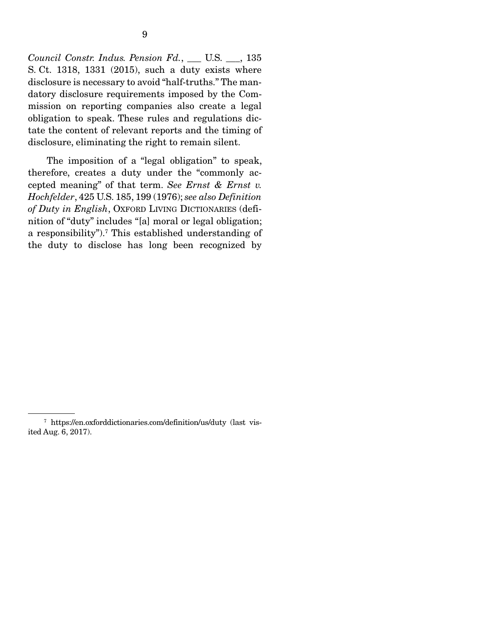*Council Constr. Indus. Pension Fd.*, \_\_\_ U.S. \_\_\_, 135 S. Ct. 1318, 1331 (2015), such a duty exists where disclosure is necessary to avoid "half-truths." The mandatory disclosure requirements imposed by the Commission on reporting companies also create a legal obligation to speak. These rules and regulations dictate the content of relevant reports and the timing of disclosure, eliminating the right to remain silent.

 The imposition of a "legal obligation" to speak, therefore, creates a duty under the "commonly accepted meaning" of that term. *See Ernst & Ernst v. Hochfelder*, 425 U.S. 185, 199 (1976); *see also Definition of Duty in English*, OXFORD LIVING DICTIONARIES (definition of "duty" includes "[a] moral or legal obligation; a responsibility").<sup>7</sup> This established understanding of the duty to disclose has long been recognized by

<sup>7</sup> https://en.oxforddictionaries.com/definition/us/duty (last visited Aug. 6, 2017).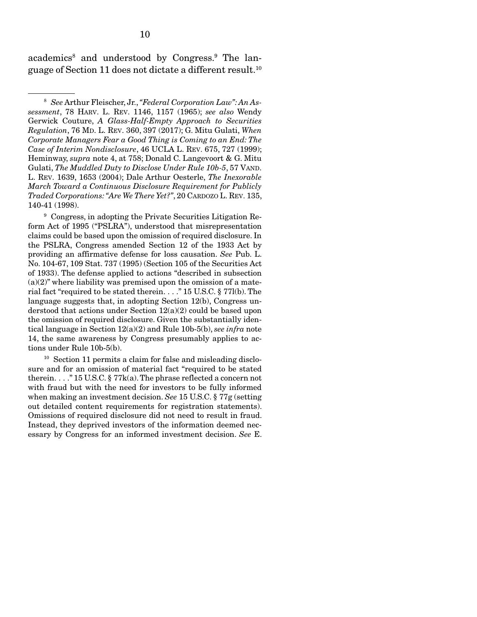academics<sup>8</sup> and understood by Congress.<sup>9</sup> The language of Section 11 does not dictate a different result.10

9 Congress, in adopting the Private Securities Litigation Reform Act of 1995 ("PSLRA"), understood that misrepresentation claims could be based upon the omission of required disclosure. In the PSLRA, Congress amended Section 12 of the 1933 Act by providing an affirmative defense for loss causation. *See* Pub. L. No. 104-67, 109 Stat. 737 (1995) (Section 105 of the Securities Act of 1933). The defense applied to actions "described in subsection  $(a)(2)$ " where liability was premised upon the omission of a material fact "required to be stated therein. . . ." 15 U.S.C. § 77l(b). The language suggests that, in adopting Section 12(b), Congress understood that actions under Section 12(a)(2) could be based upon the omission of required disclosure. Given the substantially identical language in Section 12(a)(2) and Rule 10b-5(b), *see infra* note 14, the same awareness by Congress presumably applies to actions under Rule 10b-5(b).

<sup>10</sup> Section 11 permits a claim for false and misleading disclosure and for an omission of material fact "required to be stated therein. . . ." 15 U.S.C. § 77k(a). The phrase reflected a concern not with fraud but with the need for investors to be fully informed when making an investment decision. *See* 15 U.S.C. § 77g (setting out detailed content requirements for registration statements). Omissions of required disclosure did not need to result in fraud. Instead, they deprived investors of the information deemed necessary by Congress for an informed investment decision. *See* E.

<sup>8</sup> *See* Arthur Fleischer, Jr., *"Federal Corporation Law": An Assessment*, 78 HARV. L. REV. 1146, 1157 (1965); *see also* Wendy Gerwick Couture, *A Glass-Half-Empty Approach to Securities Regulation*, 76 MD. L. REV. 360, 397 (2017); G. Mitu Gulati, *When Corporate Managers Fear a Good Thing is Coming to an End: The Case of Interim Nondisclosure*, 46 UCLA L. REV. 675, 727 (1999); Heminway, *supra* note 4, at 758; Donald C. Langevoort & G. Mitu Gulati, *The Muddled Duty to Disclose Under Rule 10b-5*, 57 VAND. L. REV. 1639, 1653 (2004); Dale Arthur Oesterle, *The Inexorable March Toward a Continuous Disclosure Requirement for Publicly Traded Corporations: "Are We There Yet?"*, 20 CARDOZO L. REV. 135, 140-41 (1998).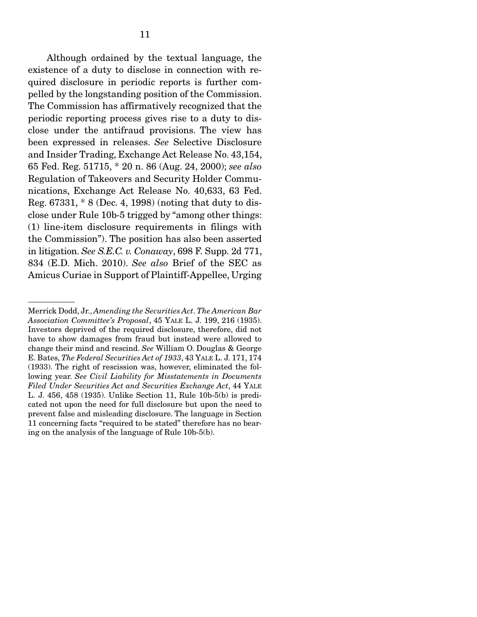Although ordained by the textual language, the existence of a duty to disclose in connection with required disclosure in periodic reports is further compelled by the longstanding position of the Commission. The Commission has affirmatively recognized that the periodic reporting process gives rise to a duty to disclose under the antifraud provisions. The view has been expressed in releases. *See* Selective Disclosure and Insider Trading, Exchange Act Release No. 43,154, 65 Fed. Reg. 51715, \* 20 n. 86 (Aug. 24, 2000); *see also* Regulation of Takeovers and Security Holder Communications, Exchange Act Release No. 40,633, 63 Fed. Reg. 67331, \* 8 (Dec. 4, 1998) (noting that duty to disclose under Rule 10b-5 trigged by "among other things: (1) line-item disclosure requirements in filings with the Commission"). The position has also been asserted in litigation. *See S.E.C. v. Conaway*, 698 F. Supp. 2d 771, 834 (E.D. Mich. 2010). *See also* Brief of the SEC as Amicus Curiae in Support of Plaintiff-Appellee, Urging

Merrick Dodd, Jr., *Amending the Securities Act*. *The American Bar Association Committee's Proposal*, 45 YALE L. J. 199, 216 (1935). Investors deprived of the required disclosure, therefore, did not have to show damages from fraud but instead were allowed to change their mind and rescind. *See* William O. Douglas & George E. Bates, *The Federal Securities Act of 1933*, 43 YALE L. J. 171, 174 (1933). The right of rescission was, however, eliminated the following year. *See Civil Liability for Misstatements in Documents Filed Under Securities Act and Securities Exchange Act*, 44 YALE L. J. 456, 458 (1935). Unlike Section 11, Rule 10b-5(b) is predicated not upon the need for full disclosure but upon the need to prevent false and misleading disclosure. The language in Section 11 concerning facts "required to be stated" therefore has no bearing on the analysis of the language of Rule 10b-5(b).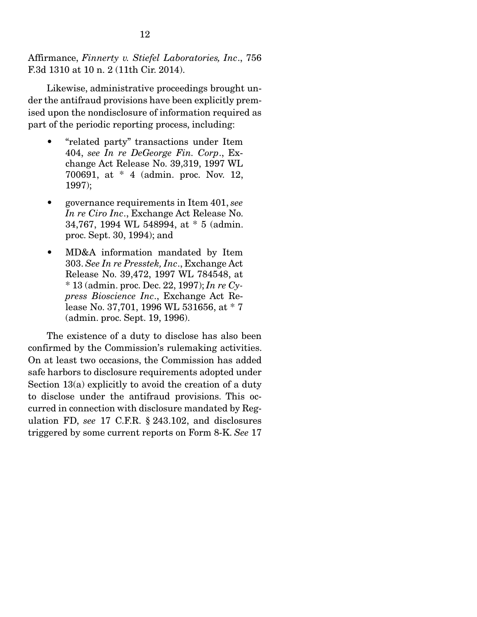Affirmance, *Finnerty v. Stiefel Laboratories, Inc*., 756 F.3d 1310 at 10 n. 2 (11th Cir. 2014).

 Likewise, administrative proceedings brought under the antifraud provisions have been explicitly premised upon the nondisclosure of information required as part of the periodic reporting process, including:

- "related party" transactions under Item 404, *see In re DeGeorge Fin. Corp*., Exchange Act Release No. 39,319, 1997 WL 700691, at \* 4 (admin. proc. Nov. 12, 1997);
- governance requirements in Item 401, *see In re Ciro Inc*., Exchange Act Release No. 34,767, 1994 WL 548994, at \* 5 (admin. proc. Sept. 30, 1994); and
- MD&A information mandated by Item 303. *See In re Presstek, Inc*., Exchange Act Release No. 39,472, 1997 WL 784548, at \* 13 (admin. proc. Dec. 22, 1997); *In re Cypress Bioscience Inc*., Exchange Act Release No. 37,701, 1996 WL 531656, at \* 7 (admin. proc. Sept. 19, 1996).

 The existence of a duty to disclose has also been confirmed by the Commission's rulemaking activities. On at least two occasions, the Commission has added safe harbors to disclosure requirements adopted under Section 13(a) explicitly to avoid the creation of a duty to disclose under the antifraud provisions. This occurred in connection with disclosure mandated by Regulation FD, *see* 17 C.F.R. § 243.102, and disclosures triggered by some current reports on Form 8-K. *See* 17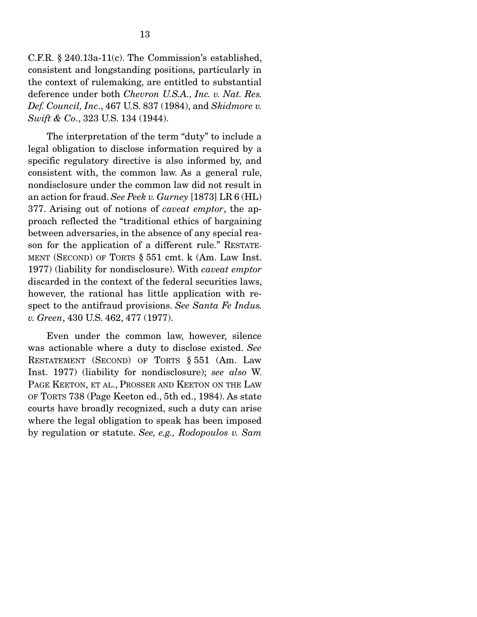C.F.R. § 240.13a-11(c). The Commission's established, consistent and longstanding positions, particularly in the context of rulemaking, are entitled to substantial deference under both *Chevron U.S.A., Inc. v. Nat. Res. Def. Council, Inc*., 467 U.S. 837 (1984), and *Skidmore v. Swift & Co*., 323 U.S. 134 (1944).

 The interpretation of the term "duty" to include a legal obligation to disclose information required by a specific regulatory directive is also informed by, and consistent with, the common law. As a general rule, nondisclosure under the common law did not result in an action for fraud. *See Peek v. Gurney* [1873] LR 6 (HL) 377. Arising out of notions of *caveat emptor*, the approach reflected the "traditional ethics of bargaining between adversaries, in the absence of any special reason for the application of a different rule." RESTATE-MENT (SECOND) OF TORTS § 551 cmt. k (Am. Law Inst. 1977) (liability for nondisclosure). With *caveat emptor* discarded in the context of the federal securities laws, however, the rational has little application with respect to the antifraud provisions. *See Santa Fe Indus. v. Green*, 430 U.S. 462, 477 (1977).

 Even under the common law, however, silence was actionable where a duty to disclose existed. *See* RESTATEMENT (SECOND) OF TORTS § 551 (Am. Law Inst. 1977) (liability for nondisclosure); *see also* W. PAGE KEETON, ET AL., PROSSER AND KEETON ON THE LAW OF TORTS 738 (Page Keeton ed., 5th ed., 1984). As state courts have broadly recognized, such a duty can arise where the legal obligation to speak has been imposed by regulation or statute. *See, e.g., Rodopoulos v. Sam*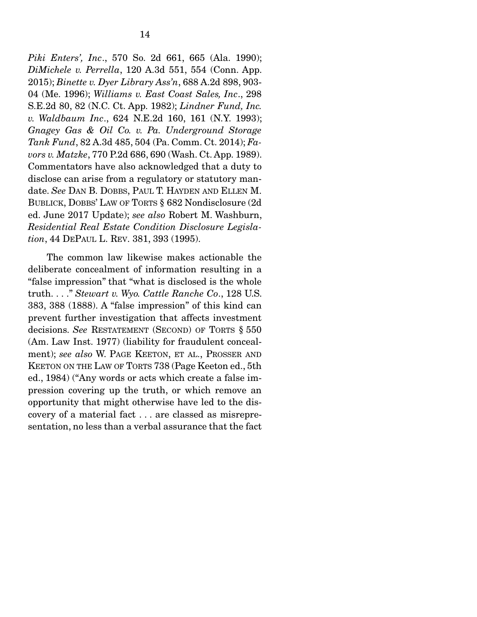*Piki Enters', Inc*., 570 So. 2d 661, 665 (Ala. 1990); *DiMichele v. Perrella*, 120 A.3d 551, 554 (Conn. App. 2015); *Binette v. Dyer Library Ass'n*, 688 A.2d 898, 903- 04 (Me. 1996); *Williams v. East Coast Sales, Inc*., 298 S.E.2d 80, 82 (N.C. Ct. App. 1982); *Lindner Fund, Inc. v. Waldbaum Inc*., 624 N.E.2d 160, 161 (N.Y. 1993); *Gnagey Gas & Oil Co. v. Pa. Underground Storage Tank Fund*, 82 A.3d 485, 504 (Pa. Comm. Ct. 2014); *Favors v. Matzke*, 770 P.2d 686, 690 (Wash. Ct. App. 1989). Commentators have also acknowledged that a duty to disclose can arise from a regulatory or statutory mandate. *See* DAN B. DOBBS, PAUL T. HAYDEN AND ELLEN M. BUBLICK, DOBBS' LAW OF TORTS § 682 Nondisclosure (2d ed. June 2017 Update); *see also* Robert M. Washburn, *Residential Real Estate Condition Disclosure Legislation*, 44 DEPAUL L. REV. 381, 393 (1995).

 The common law likewise makes actionable the deliberate concealment of information resulting in a "false impression" that "what is disclosed is the whole truth. . . ." *Stewart v. Wyo. Cattle Ranche Co*., 128 U.S. 383, 388 (1888). A "false impression" of this kind can prevent further investigation that affects investment decisions. *See* RESTATEMENT (SECOND) OF TORTS § 550 (Am. Law Inst. 1977) (liability for fraudulent concealment); *see also* W. PAGE KEETON, ET AL., PROSSER AND KEETON ON THE LAW OF TORTS 738 (Page Keeton ed., 5th ed., 1984) ("Any words or acts which create a false impression covering up the truth, or which remove an opportunity that might otherwise have led to the discovery of a material fact . . . are classed as misrepresentation, no less than a verbal assurance that the fact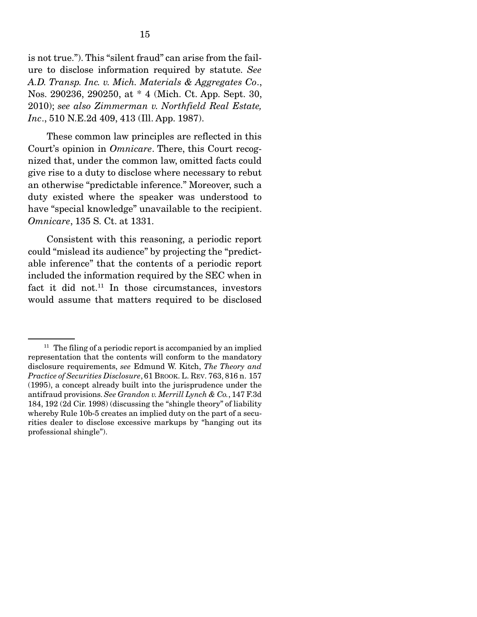is not true."). This "silent fraud" can arise from the failure to disclose information required by statute. *See A.D. Transp. Inc. v. Mich. Materials & Aggregates Co*., Nos. 290236, 290250, at \* 4 (Mich. Ct. App. Sept. 30, 2010); *see also Zimmerman v. Northfield Real Estate, Inc*., 510 N.E.2d 409, 413 (Ill. App. 1987).

 These common law principles are reflected in this Court's opinion in *Omnicare*. There, this Court recognized that, under the common law, omitted facts could give rise to a duty to disclose where necessary to rebut an otherwise "predictable inference." Moreover, such a duty existed where the speaker was understood to have "special knowledge" unavailable to the recipient. *Omnicare*, 135 S. Ct. at 1331.

 Consistent with this reasoning, a periodic report could "mislead its audience" by projecting the "predictable inference" that the contents of a periodic report included the information required by the SEC when in fact it did not.<sup>11</sup> In those circumstances, investors would assume that matters required to be disclosed

 $11$  The filing of a periodic report is accompanied by an implied representation that the contents will conform to the mandatory disclosure requirements, *see* Edmund W. Kitch, *The Theory and Practice of Securities Disclosure*, 61 BROOK. L. REV. 763, 816 n. 157 (1995), a concept already built into the jurisprudence under the antifraud provisions. *See Grandon v. Merrill Lynch & Co.*, 147 F.3d 184, 192 (2d Cir. 1998) (discussing the "shingle theory" of liability whereby Rule 10b-5 creates an implied duty on the part of a securities dealer to disclose excessive markups by "hanging out its professional shingle").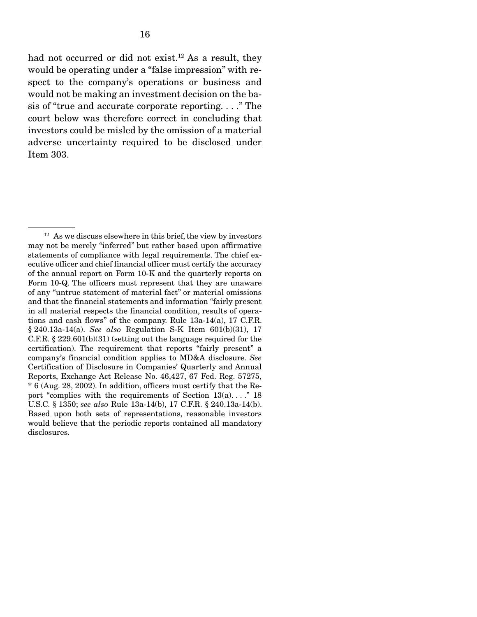had not occurred or did not exist.<sup>12</sup> As a result, they would be operating under a "false impression" with respect to the company's operations or business and would not be making an investment decision on the basis of "true and accurate corporate reporting. . . ." The court below was therefore correct in concluding that investors could be misled by the omission of a material adverse uncertainty required to be disclosed under Item 303.

 $12$  As we discuss elsewhere in this brief, the view by investors may not be merely "inferred" but rather based upon affirmative statements of compliance with legal requirements. The chief executive officer and chief financial officer must certify the accuracy of the annual report on Form 10-K and the quarterly reports on Form 10-Q. The officers must represent that they are unaware of any "untrue statement of material fact" or material omissions and that the financial statements and information "fairly present in all material respects the financial condition, results of operations and cash flows" of the company. Rule 13a-14(a), 17 C.F.R. § 240.13a-14(a). *See also* Regulation S-K Item 601(b)(31), 17 C.F.R. § 229.601(b)(31) (setting out the language required for the certification). The requirement that reports "fairly present" a company's financial condition applies to MD&A disclosure. *See* Certification of Disclosure in Companies' Quarterly and Annual Reports, Exchange Act Release No. 46,427, 67 Fed. Reg. 57275, \* 6 (Aug. 28, 2002). In addition, officers must certify that the Report "complies with the requirements of Section  $13(a)$ ...." 18 U.S.C. § 1350; *see also* Rule 13a-14(b), 17 C.F.R. § 240.13a-14(b). Based upon both sets of representations, reasonable investors would believe that the periodic reports contained all mandatory disclosures.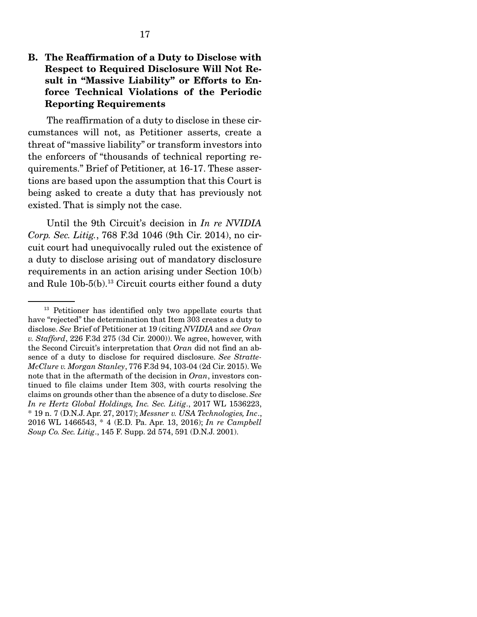#### B. The Reaffirmation of a Duty to Disclose with Respect to Required Disclosure Will Not Result in "Massive Liability" or Efforts to Enforce Technical Violations of the Periodic Reporting Requirements

 The reaffirmation of a duty to disclose in these circumstances will not, as Petitioner asserts, create a threat of "massive liability" or transform investors into the enforcers of "thousands of technical reporting requirements." Brief of Petitioner, at 16-17. These assertions are based upon the assumption that this Court is being asked to create a duty that has previously not existed. That is simply not the case.

 Until the 9th Circuit's decision in *In re NVIDIA Corp. Sec. Litig.*, 768 F.3d 1046 (9th Cir. 2014), no circuit court had unequivocally ruled out the existence of a duty to disclose arising out of mandatory disclosure requirements in an action arising under Section 10(b) and Rule 10b-5(b).13 Circuit courts either found a duty

<sup>&</sup>lt;sup>13</sup> Petitioner has identified only two appellate courts that have "rejected" the determination that Item 303 creates a duty to disclose. *See* Brief of Petitioner at 19 (citing *NVIDIA* and *see Oran v. Stafford*, 226 F.3d 275 (3d Cir. 2000)). We agree, however, with the Second Circuit's interpretation that *Oran* did not find an absence of a duty to disclose for required disclosure. *See Stratte-McClure v. Morgan Stanley*, 776 F.3d 94, 103-04 (2d Cir. 2015). We note that in the aftermath of the decision in *Oran*, investors continued to file claims under Item 303, with courts resolving the claims on grounds other than the absence of a duty to disclose. *See In re Hertz Global Holdings, Inc. Sec. Litig*., 2017 WL 1536223, \* 19 n. 7 (D.N.J. Apr. 27, 2017); *Messner v. USA Technologies, Inc*., 2016 WL 1466543, \* 4 (E.D. Pa. Apr. 13, 2016); *In re Campbell Soup Co. Sec. Litig*., 145 F. Supp. 2d 574, 591 (D.N.J. 2001).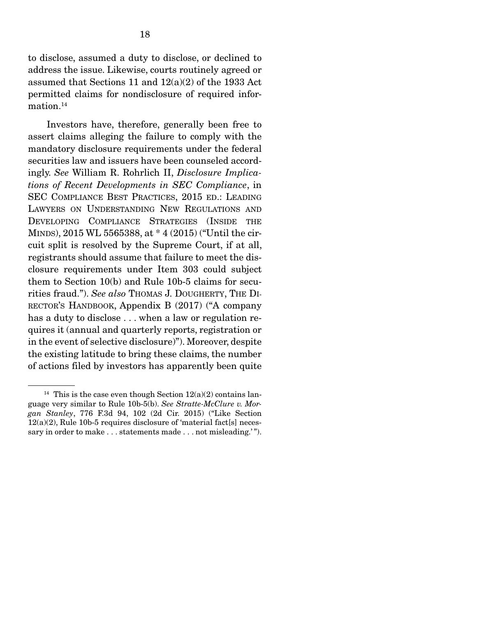to disclose, assumed a duty to disclose, or declined to address the issue. Likewise, courts routinely agreed or assumed that Sections 11 and 12(a)(2) of the 1933 Act permitted claims for nondisclosure of required information.<sup>14</sup>

 Investors have, therefore, generally been free to assert claims alleging the failure to comply with the mandatory disclosure requirements under the federal securities law and issuers have been counseled accordingly. *See* William R. Rohrlich II, *Disclosure Implications of Recent Developments in SEC Compliance*, in SEC COMPLIANCE BEST PRACTICES, 2015 ED.: LEADING LAWYERS ON UNDERSTANDING NEW REGULATIONS AND DEVELOPING COMPLIANCE STRATEGIES (INSIDE THE MINDS), 2015 WL 5565388, at \* 4 (2015) ("Until the circuit split is resolved by the Supreme Court, if at all, registrants should assume that failure to meet the disclosure requirements under Item 303 could subject them to Section 10(b) and Rule 10b-5 claims for securities fraud."). *See also* THOMAS J. DOUGHERTY, THE DI-RECTOR'S HANDBOOK, Appendix B (2017) ("A company has a duty to disclose . . . when a law or regulation requires it (annual and quarterly reports, registration or in the event of selective disclosure)"). Moreover, despite the existing latitude to bring these claims, the number of actions filed by investors has apparently been quite

<sup>&</sup>lt;sup>14</sup> This is the case even though Section  $12(a)(2)$  contains language very similar to Rule 10b-5(b). *See Stratte-McClure v. Morgan Stanley*, 776 F.3d 94, 102 (2d Cir. 2015) ("Like Section  $12(a)(2)$ , Rule 10b-5 requires disclosure of 'material fact[s] necessary in order to make . . . statements made . . . not misleading.'".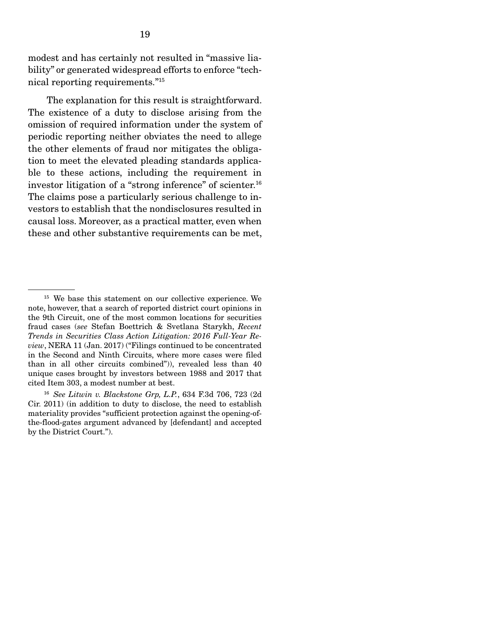modest and has certainly not resulted in "massive liability" or generated widespread efforts to enforce "technical reporting requirements."15

 The explanation for this result is straightforward. The existence of a duty to disclose arising from the omission of required information under the system of periodic reporting neither obviates the need to allege the other elements of fraud nor mitigates the obligation to meet the elevated pleading standards applicable to these actions, including the requirement in investor litigation of a "strong inference" of scienter.<sup>16</sup> The claims pose a particularly serious challenge to investors to establish that the nondisclosures resulted in causal loss. Moreover, as a practical matter, even when these and other substantive requirements can be met,

<sup>&</sup>lt;sup>15</sup> We base this statement on our collective experience. We note, however, that a search of reported district court opinions in the 9th Circuit, one of the most common locations for securities fraud cases (*see* Stefan Boettrich & Svetlana Starykh, *Recent Trends in Securities Class Action Litigation: 2016 Full-Year Review*, NERA 11 (Jan. 2017) ("Filings continued to be concentrated in the Second and Ninth Circuits, where more cases were filed than in all other circuits combined")), revealed less than 40 unique cases brought by investors between 1988 and 2017 that cited Item 303, a modest number at best.

<sup>16</sup> *See Litwin v. Blackstone Grp, L.P.*, 634 F.3d 706, 723 (2d Cir. 2011) (in addition to duty to disclose, the need to establish materiality provides "sufficient protection against the opening-ofthe-flood-gates argument advanced by [defendant] and accepted by the District Court.").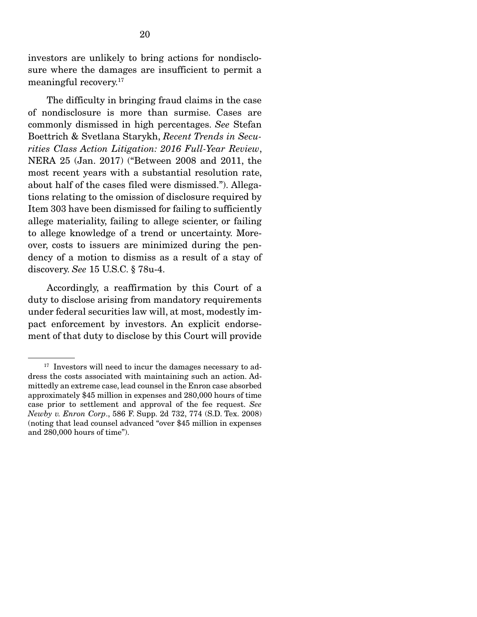investors are unlikely to bring actions for nondisclosure where the damages are insufficient to permit a meaningful recovery.17

 The difficulty in bringing fraud claims in the case of nondisclosure is more than surmise. Cases are commonly dismissed in high percentages. *See* Stefan Boettrich & Svetlana Starykh, *Recent Trends in Securities Class Action Litigation: 2016 Full-Year Review*, NERA 25 (Jan. 2017) ("Between 2008 and 2011, the most recent years with a substantial resolution rate, about half of the cases filed were dismissed."). Allegations relating to the omission of disclosure required by Item 303 have been dismissed for failing to sufficiently allege materiality, failing to allege scienter, or failing to allege knowledge of a trend or uncertainty. Moreover, costs to issuers are minimized during the pendency of a motion to dismiss as a result of a stay of discovery. *See* 15 U.S.C. § 78u-4.

 Accordingly, a reaffirmation by this Court of a duty to disclose arising from mandatory requirements under federal securities law will, at most, modestly impact enforcement by investors. An explicit endorsement of that duty to disclose by this Court will provide

 $17$  Investors will need to incur the damages necessary to address the costs associated with maintaining such an action. Admittedly an extreme case, lead counsel in the Enron case absorbed approximately \$45 million in expenses and 280,000 hours of time case prior to settlement and approval of the fee request. *See Newby v. Enron Corp*., 586 F. Supp. 2d 732, 774 (S.D. Tex. 2008) (noting that lead counsel advanced "over \$45 million in expenses and 280,000 hours of time").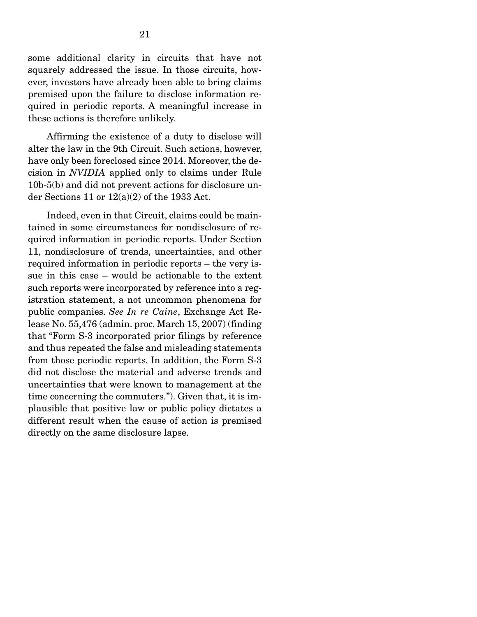some additional clarity in circuits that have not squarely addressed the issue. In those circuits, however, investors have already been able to bring claims premised upon the failure to disclose information required in periodic reports. A meaningful increase in these actions is therefore unlikely.

 Affirming the existence of a duty to disclose will alter the law in the 9th Circuit. Such actions, however, have only been foreclosed since 2014. Moreover, the decision in *NVIDIA* applied only to claims under Rule 10b-5(b) and did not prevent actions for disclosure under Sections 11 or  $12(a)(2)$  of the 1933 Act.

 Indeed, even in that Circuit, claims could be maintained in some circumstances for nondisclosure of required information in periodic reports. Under Section 11, nondisclosure of trends, uncertainties, and other required information in periodic reports – the very issue in this case – would be actionable to the extent such reports were incorporated by reference into a registration statement, a not uncommon phenomena for public companies. *See In re Caine*, Exchange Act Release No. 55,476 (admin. proc. March 15, 2007) (finding that "Form S-3 incorporated prior filings by reference and thus repeated the false and misleading statements from those periodic reports. In addition, the Form S-3 did not disclose the material and adverse trends and uncertainties that were known to management at the time concerning the commuters."). Given that, it is implausible that positive law or public policy dictates a different result when the cause of action is premised directly on the same disclosure lapse.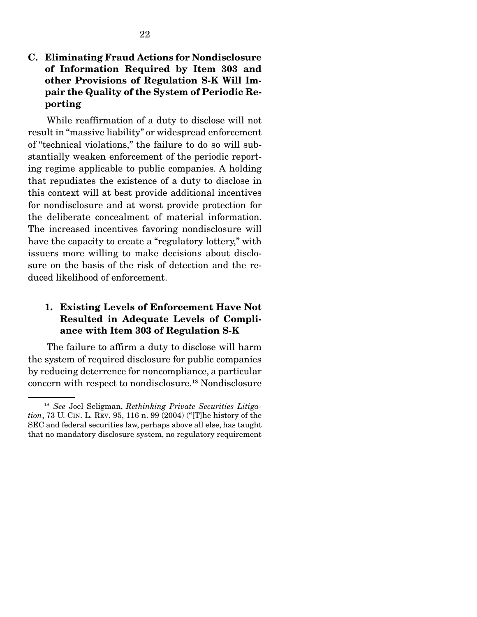#### C. Eliminating Fraud Actions for Nondisclosure of Information Required by Item 303 and other Provisions of Regulation S-K Will Impair the Quality of the System of Periodic Reporting

 While reaffirmation of a duty to disclose will not result in "massive liability" or widespread enforcement of "technical violations," the failure to do so will substantially weaken enforcement of the periodic reporting regime applicable to public companies. A holding that repudiates the existence of a duty to disclose in this context will at best provide additional incentives for nondisclosure and at worst provide protection for the deliberate concealment of material information. The increased incentives favoring nondisclosure will have the capacity to create a "regulatory lottery," with issuers more willing to make decisions about disclosure on the basis of the risk of detection and the reduced likelihood of enforcement.

#### 1. Existing Levels of Enforcement Have Not Resulted in Adequate Levels of Compliance with Item 303 of Regulation S-K

 The failure to affirm a duty to disclose will harm the system of required disclosure for public companies by reducing deterrence for noncompliance, a particular concern with respect to nondisclosure.18 Nondisclosure

<sup>18</sup> *See* Joel Seligman, *Rethinking Private Securities Litigation*, 73 U. CIN. L. REV. 95, 116 n. 99 (2004) ("[T]he history of the SEC and federal securities law, perhaps above all else, has taught that no mandatory disclosure system, no regulatory requirement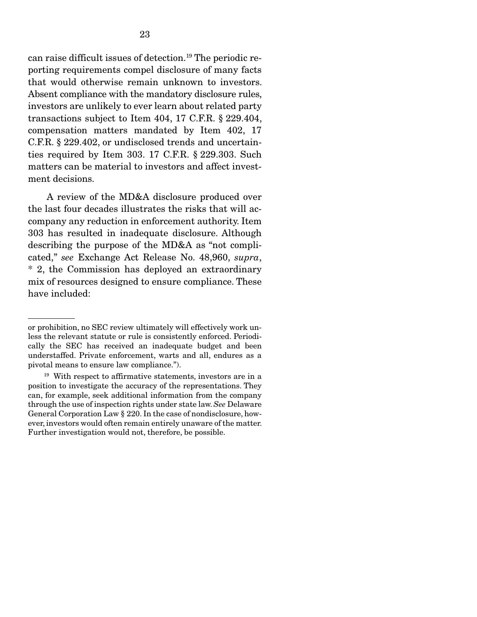can raise difficult issues of detection.19 The periodic reporting requirements compel disclosure of many facts that would otherwise remain unknown to investors. Absent compliance with the mandatory disclosure rules, investors are unlikely to ever learn about related party transactions subject to Item 404, 17 C.F.R. § 229.404, compensation matters mandated by Item 402, 17 C.F.R. § 229.402, or undisclosed trends and uncertainties required by Item 303. 17 C.F.R. § 229.303. Such matters can be material to investors and affect investment decisions.

 A review of the MD&A disclosure produced over the last four decades illustrates the risks that will accompany any reduction in enforcement authority. Item 303 has resulted in inadequate disclosure. Although describing the purpose of the MD&A as "not complicated," *see* Exchange Act Release No. 48,960, *supra*, \* 2, the Commission has deployed an extraordinary mix of resources designed to ensure compliance. These have included:

or prohibition, no SEC review ultimately will effectively work unless the relevant statute or rule is consistently enforced. Periodically the SEC has received an inadequate budget and been understaffed. Private enforcement, warts and all, endures as a pivotal means to ensure law compliance.").

 $19$  With respect to affirmative statements, investors are in a position to investigate the accuracy of the representations. They can, for example, seek additional information from the company through the use of inspection rights under state law. *See* Delaware General Corporation Law § 220. In the case of nondisclosure, however, investors would often remain entirely unaware of the matter. Further investigation would not, therefore, be possible.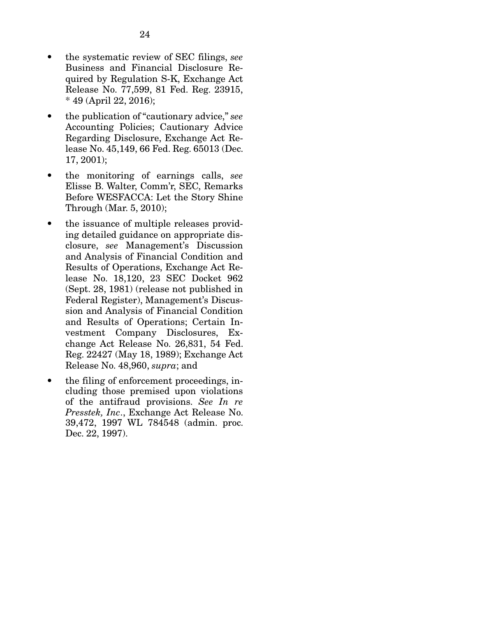- the systematic review of SEC filings, *see* Business and Financial Disclosure Required by Regulation S-K, Exchange Act Release No. 77,599, 81 Fed. Reg. 23915, \* 49 (April 22, 2016);
- the publication of "cautionary advice," *see* Accounting Policies; Cautionary Advice Regarding Disclosure, Exchange Act Release No. 45,149, 66 Fed. Reg. 65013 (Dec. 17, 2001);
- the monitoring of earnings calls, *see*  Elisse B. Walter, Comm'r, SEC, Remarks Before WESFACCA: Let the Story Shine Through (Mar. 5, 2010);
- the issuance of multiple releases providing detailed guidance on appropriate disclosure, *see* Management's Discussion and Analysis of Financial Condition and Results of Operations, Exchange Act Release No. 18,120, 23 SEC Docket 962 (Sept. 28, 1981) (release not published in Federal Register), Management's Discussion and Analysis of Financial Condition and Results of Operations; Certain Investment Company Disclosures, Exchange Act Release No. 26,831, 54 Fed. Reg. 22427 (May 18, 1989); Exchange Act Release No. 48,960, *supra*; and
- the filing of enforcement proceedings, including those premised upon violations of the antifraud provisions. *See In re Presstek, Inc*., Exchange Act Release No. 39,472, 1997 WL 784548 (admin. proc. Dec. 22, 1997).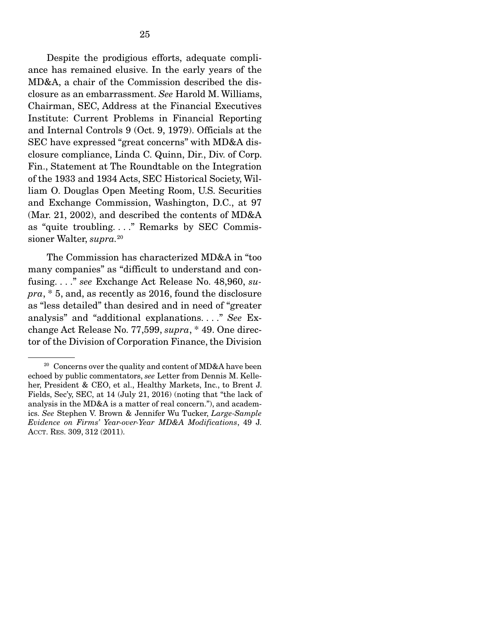Despite the prodigious efforts, adequate compliance has remained elusive. In the early years of the MD&A, a chair of the Commission described the disclosure as an embarrassment. *See* Harold M. Williams, Chairman, SEC, Address at the Financial Executives Institute: Current Problems in Financial Reporting and Internal Controls 9 (Oct. 9, 1979). Officials at the SEC have expressed "great concerns" with MD&A disclosure compliance, Linda C. Quinn, Dir., Div. of Corp. Fin., Statement at The Roundtable on the Integration of the 1933 and 1934 Acts, SEC Historical Society, William O. Douglas Open Meeting Room, U.S. Securities and Exchange Commission, Washington, D.C., at 97 (Mar. 21, 2002), and described the contents of MD&A as "quite troubling. . . ." Remarks by SEC Commissioner Walter, *supra.*20

 The Commission has characterized MD&A in "too many companies" as "difficult to understand and confusing. . . ." *see* Exchange Act Release No. 48,960, *supra*, \* 5, and, as recently as 2016, found the disclosure as "less detailed" than desired and in need of "greater analysis" and "additional explanations. . . ." *See* Exchange Act Release No. 77,599, *supra*, \* 49. One director of the Division of Corporation Finance, the Division

<sup>&</sup>lt;sup>20</sup> Concerns over the quality and content of MD&A have been echoed by public commentators, *see* Letter from Dennis M. Kelleher, President & CEO, et al., Healthy Markets, Inc., to Brent J. Fields, Sec'y, SEC, at 14 (July 21, 2016) (noting that "the lack of analysis in the MD&A is a matter of real concern."), and academics. *See* Stephen V. Brown & Jennifer Wu Tucker, *Large-Sample Evidence on Firms' Year-over-Year MD&A Modifications*, 49 J. ACCT. RES. 309, 312 (2011).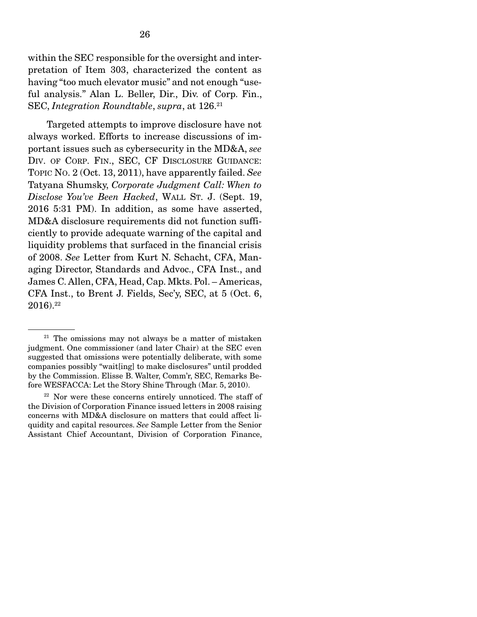within the SEC responsible for the oversight and interpretation of Item 303, characterized the content as having "too much elevator music" and not enough "useful analysis." Alan L. Beller, Dir., Div. of Corp. Fin., SEC, *Integration Roundtable*, *supra*, at 126.21

 Targeted attempts to improve disclosure have not always worked. Efforts to increase discussions of important issues such as cybersecurity in the MD&A, *see* DIV. OF CORP. FIN., SEC, CF DISCLOSURE GUIDANCE: TOPIC NO. 2 (Oct. 13, 2011), have apparently failed. *See*  Tatyana Shumsky, *Corporate Judgment Call: When to Disclose You've Been Hacked*, WALL ST. J. (Sept. 19, 2016 5:31 PM). In addition, as some have asserted, MD&A disclosure requirements did not function sufficiently to provide adequate warning of the capital and liquidity problems that surfaced in the financial crisis of 2008. *See* Letter from Kurt N. Schacht, CFA, Managing Director, Standards and Advoc., CFA Inst., and James C. Allen, CFA, Head, Cap. Mkts. Pol. – Americas, CFA Inst., to Brent J. Fields, Sec'y, SEC, at 5 (Oct. 6,  $2016$ ).<sup>22</sup>

 $21$  The omissions may not always be a matter of mistaken judgment. One commissioner (and later Chair) at the SEC even suggested that omissions were potentially deliberate, with some companies possibly "wait[ing] to make disclosures" until prodded by the Commission. Elisse B. Walter, Comm'r, SEC, Remarks Before WESFACCA: Let the Story Shine Through (Mar. 5, 2010).

<sup>&</sup>lt;sup>22</sup> Nor were these concerns entirely unnoticed. The staff of the Division of Corporation Finance issued letters in 2008 raising concerns with MD&A disclosure on matters that could affect liquidity and capital resources. *See* Sample Letter from the Senior Assistant Chief Accountant, Division of Corporation Finance,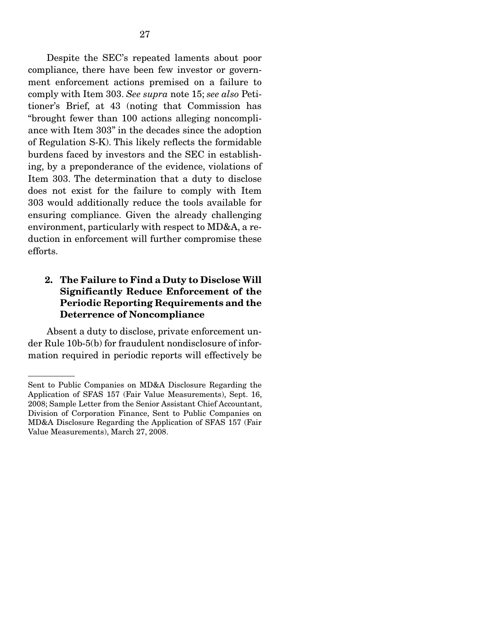Despite the SEC's repeated laments about poor compliance, there have been few investor or government enforcement actions premised on a failure to comply with Item 303. *See supra* note 15; *see also* Petitioner's Brief, at 43 (noting that Commission has "brought fewer than 100 actions alleging noncompliance with Item 303" in the decades since the adoption of Regulation S-K). This likely reflects the formidable burdens faced by investors and the SEC in establishing, by a preponderance of the evidence, violations of Item 303. The determination that a duty to disclose does not exist for the failure to comply with Item 303 would additionally reduce the tools available for ensuring compliance. Given the already challenging environment, particularly with respect to MD&A, a reduction in enforcement will further compromise these efforts.

#### 2. The Failure to Find a Duty to Disclose Will Significantly Reduce Enforcement of the Periodic Reporting Requirements and the Deterrence of Noncompliance

 Absent a duty to disclose, private enforcement under Rule 10b-5(b) for fraudulent nondisclosure of information required in periodic reports will effectively be

Sent to Public Companies on MD&A Disclosure Regarding the Application of SFAS 157 (Fair Value Measurements), Sept. 16, 2008; Sample Letter from the Senior Assistant Chief Accountant, Division of Corporation Finance, Sent to Public Companies on MD&A Disclosure Regarding the Application of SFAS 157 (Fair Value Measurements), March 27, 2008.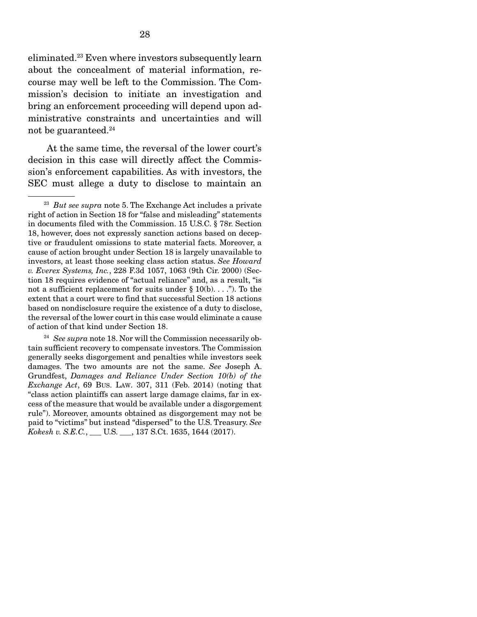eliminated.23 Even where investors subsequently learn about the concealment of material information, recourse may well be left to the Commission. The Commission's decision to initiate an investigation and bring an enforcement proceeding will depend upon administrative constraints and uncertainties and will not be guaranteed.24

 At the same time, the reversal of the lower court's decision in this case will directly affect the Commission's enforcement capabilities. As with investors, the SEC must allege a duty to disclose to maintain an

<sup>24</sup> See supra note 18. Nor will the Commission necessarily obtain sufficient recovery to compensate investors. The Commission generally seeks disgorgement and penalties while investors seek damages. The two amounts are not the same. *See* Joseph A. Grundfest, *Damages and Reliance Under Section 10(b) of the Exchange Act*, 69 BUS. LAW. 307, 311 (Feb. 2014) (noting that "class action plaintiffs can assert large damage claims, far in excess of the measure that would be available under a disgorgement rule"). Moreover, amounts obtained as disgorgement may not be paid to "victims" but instead "dispersed" to the U.S. Treasury. *See Kokesh v. S.E.C.*, \_\_\_ U.S. \_\_\_, 137 S.Ct. 1635, 1644 (2017).

<sup>23</sup> *But see supra* note 5. The Exchange Act includes a private right of action in Section 18 for "false and misleading" statements in documents filed with the Commission. 15 U.S.C. § 78r. Section 18, however, does not expressly sanction actions based on deceptive or fraudulent omissions to state material facts. Moreover, a cause of action brought under Section 18 is largely unavailable to investors, at least those seeking class action status. *See Howard v. Everex Systems, Inc.*, 228 F.3d 1057, 1063 (9th Cir. 2000) (Section 18 requires evidence of "actual reliance" and, as a result, "is not a sufficient replacement for suits under  $\S 10(b)$ ...."). To the extent that a court were to find that successful Section 18 actions based on nondisclosure require the existence of a duty to disclose, the reversal of the lower court in this case would eliminate a cause of action of that kind under Section 18.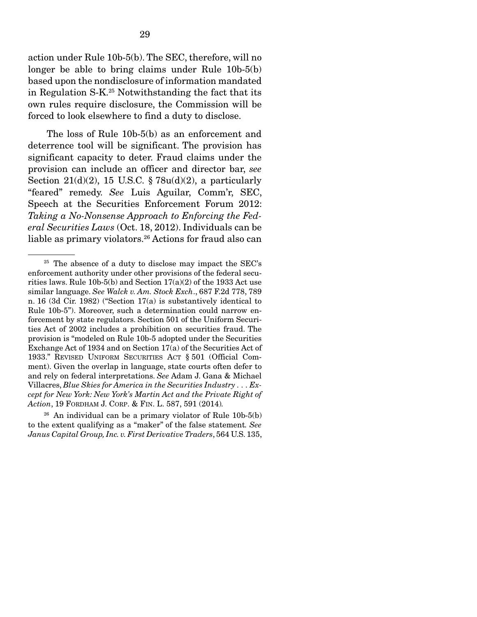action under Rule 10b-5(b). The SEC, therefore, will no longer be able to bring claims under Rule 10b-5(b) based upon the nondisclosure of information mandated in Regulation S-K.25 Notwithstanding the fact that its own rules require disclosure, the Commission will be forced to look elsewhere to find a duty to disclose.

 The loss of Rule 10b-5(b) as an enforcement and deterrence tool will be significant. The provision has significant capacity to deter. Fraud claims under the provision can include an officer and director bar, *see* Section 21(d)(2), 15 U.S.C.  $\S 78u(d)(2)$ , a particularly "feared" remedy. *See* Luis Aguilar, Comm'r, SEC, Speech at the Securities Enforcement Forum 2012: *Taking a No-Nonsense Approach to Enforcing the Federal Securities Laws* (Oct. 18, 2012). Individuals can be liable as primary violators.26 Actions for fraud also can

 $26$  An individual can be a primary violator of Rule 10b-5(b) to the extent qualifying as a "maker" of the false statement*. See Janus Capital Group, Inc. v. First Derivative Traders*, 564 U.S. 135,

 $25$  The absence of a duty to disclose may impact the SEC's enforcement authority under other provisions of the federal securities laws. Rule 10b-5(b) and Section 17(a)(2) of the 1933 Act use similar language. *See Walck v. Am. Stock Exch*., 687 F.2d 778, 789 n. 16 (3d Cir. 1982) ("Section 17(a) is substantively identical to Rule 10b-5"). Moreover, such a determination could narrow enforcement by state regulators. Section 501 of the Uniform Securities Act of 2002 includes a prohibition on securities fraud. The provision is "modeled on Rule 10b-5 adopted under the Securities Exchange Act of 1934 and on Section 17(a) of the Securities Act of 1933." REVISED UNIFORM SECURITIES ACT § 501 (Official Comment). Given the overlap in language, state courts often defer to and rely on federal interpretations. *See* Adam J. Gana & Michael Villacres, *Blue Skies for America in the Securities Industry . . . Except for New York: New York's Martin Act and the Private Right of Action*, 19 FORDHAM J. CORP. & FIN. L. 587, 591 (2014)*.*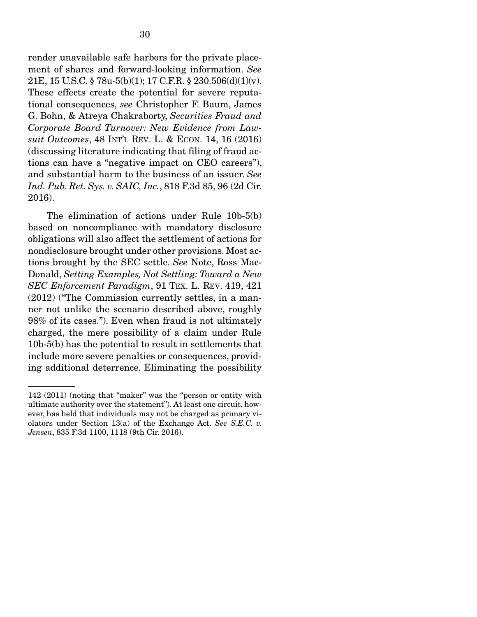render unavailable safe harbors for the private placement of shares and forward-looking information. *See* 21E, 15 U.S.C. § 78u-5(b)(1); 17 C.F.R. § 230.506(d)(1)(v). These effects create the potential for severe reputational consequences, *see* Christopher F. Baum, James G. Bohn, & Atreya Chakraborty, *Securities Fraud and Corporate Board Turnover: New Evidence from Lawsuit Outcomes*, 48 INT'L REV. L. & ECON. 14, 16 (2016) (discussing literature indicating that filing of fraud actions can have a "negative impact on CEO careers"), and substantial harm to the business of an issuer. *See Ind. Pub. Ret. Sys. v. SAIC, Inc.*, 818 F.3d 85, 96 (2d Cir. 2016).

 The elimination of actions under Rule 10b-5(b) based on noncompliance with mandatory disclosure obligations will also affect the settlement of actions for nondisclosure brought under other provisions. Most actions brought by the SEC settle. *See* Note, Ross Mac-Donald, *Setting Examples, Not Settling: Toward a New SEC Enforcement Paradigm*, 91 TEX. L. REV. 419, 421 (2012) ("The Commission currently settles, in a manner not unlike the scenario described above, roughly 98% of its cases."). Even when fraud is not ultimately charged, the mere possibility of a claim under Rule 10b-5(b) has the potential to result in settlements that include more severe penalties or consequences, providing additional deterrence. Eliminating the possibility

<sup>142 (2011) (</sup>noting that "maker" was the "person or entity with ultimate authority over the statement"). At least one circuit, however, has held that individuals may not be charged as primary violators under Section 13(a) of the Exchange Act. *See S.E.C. v. Jensen*, 835 F.3d 1100, 1118 (9th Cir. 2016).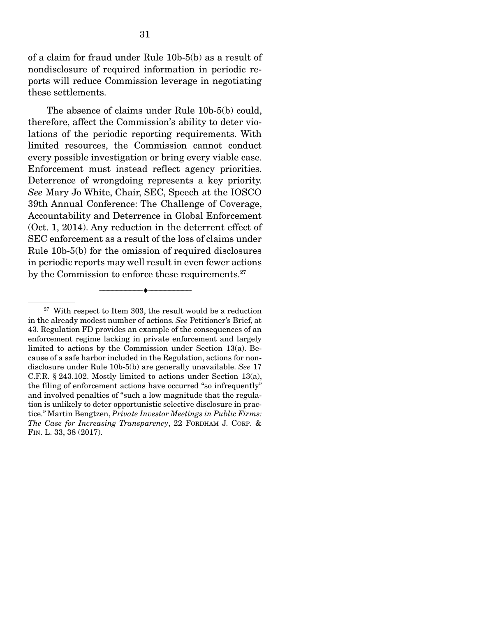of a claim for fraud under Rule 10b-5(b) as a result of nondisclosure of required information in periodic reports will reduce Commission leverage in negotiating these settlements.

 The absence of claims under Rule 10b-5(b) could, therefore, affect the Commission's ability to deter violations of the periodic reporting requirements. With limited resources, the Commission cannot conduct every possible investigation or bring every viable case. Enforcement must instead reflect agency priorities. Deterrence of wrongdoing represents a key priority. *See* Mary Jo White, Chair, SEC, Speech at the IOSCO 39th Annual Conference: The Challenge of Coverage, Accountability and Deterrence in Global Enforcement (Oct. 1, 2014). Any reduction in the deterrent effect of SEC enforcement as a result of the loss of claims under Rule 10b-5(b) for the omission of required disclosures in periodic reports may well result in even fewer actions by the Commission to enforce these requirements.<sup>27</sup>

--------------------------------- ---------------------------------

 $27$  With respect to Item 303, the result would be a reduction in the already modest number of actions. *See* Petitioner's Brief, at 43. Regulation FD provides an example of the consequences of an enforcement regime lacking in private enforcement and largely limited to actions by the Commission under Section 13(a). Because of a safe harbor included in the Regulation, actions for nondisclosure under Rule 10b-5(b) are generally unavailable. *See* 17 C.F.R. § 243.102. Mostly limited to actions under Section 13(a), the filing of enforcement actions have occurred "so infrequently" and involved penalties of "such a low magnitude that the regulation is unlikely to deter opportunistic selective disclosure in practice." Martin Bengtzen, *Private Investor Meetings in Public Firms: The Case for Increasing Transparency*, 22 FORDHAM J. CORP. & FIN. L. 33, 38 (2017).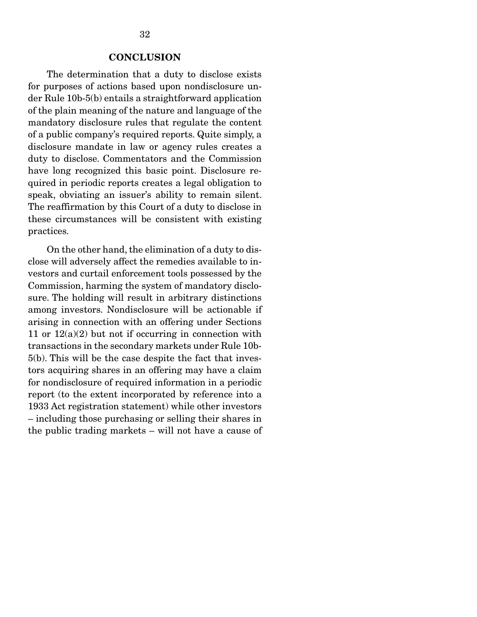#### **CONCLUSION**

 The determination that a duty to disclose exists for purposes of actions based upon nondisclosure under Rule 10b-5(b) entails a straightforward application of the plain meaning of the nature and language of the mandatory disclosure rules that regulate the content of a public company's required reports. Quite simply, a disclosure mandate in law or agency rules creates a duty to disclose. Commentators and the Commission have long recognized this basic point. Disclosure required in periodic reports creates a legal obligation to speak, obviating an issuer's ability to remain silent. The reaffirmation by this Court of a duty to disclose in these circumstances will be consistent with existing practices.

 On the other hand, the elimination of a duty to disclose will adversely affect the remedies available to investors and curtail enforcement tools possessed by the Commission, harming the system of mandatory disclosure. The holding will result in arbitrary distinctions among investors. Nondisclosure will be actionable if arising in connection with an offering under Sections 11 or  $12(a)(2)$  but not if occurring in connection with transactions in the secondary markets under Rule 10b-5(b). This will be the case despite the fact that investors acquiring shares in an offering may have a claim for nondisclosure of required information in a periodic report (to the extent incorporated by reference into a 1933 Act registration statement) while other investors – including those purchasing or selling their shares in the public trading markets – will not have a cause of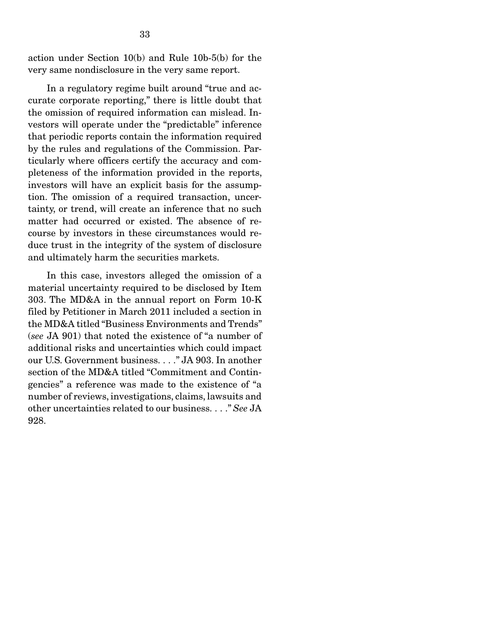action under Section 10(b) and Rule 10b-5(b) for the very same nondisclosure in the very same report.

 In a regulatory regime built around "true and accurate corporate reporting," there is little doubt that the omission of required information can mislead. Investors will operate under the "predictable" inference that periodic reports contain the information required by the rules and regulations of the Commission. Particularly where officers certify the accuracy and completeness of the information provided in the reports, investors will have an explicit basis for the assumption. The omission of a required transaction, uncertainty, or trend, will create an inference that no such matter had occurred or existed. The absence of recourse by investors in these circumstances would reduce trust in the integrity of the system of disclosure and ultimately harm the securities markets.

 In this case, investors alleged the omission of a material uncertainty required to be disclosed by Item 303. The MD&A in the annual report on Form 10-K filed by Petitioner in March 2011 included a section in the MD&A titled "Business Environments and Trends" (*see* JA 901) that noted the existence of "a number of additional risks and uncertainties which could impact our U.S. Government business. . . ." JA 903. In another section of the MD&A titled "Commitment and Contingencies" a reference was made to the existence of "a number of reviews, investigations, claims, lawsuits and other uncertainties related to our business. . . ." *See* JA 928.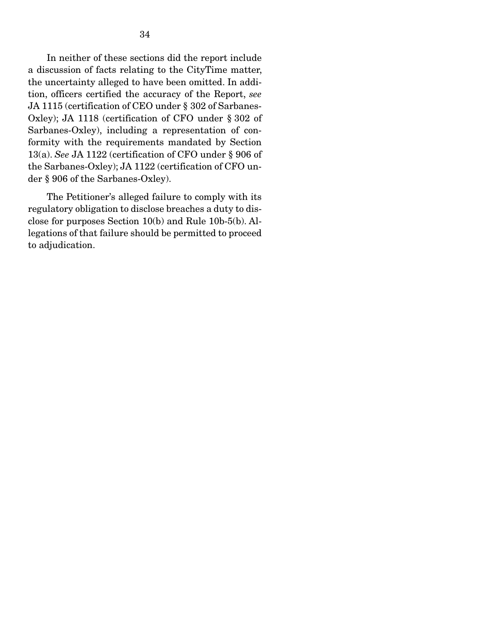In neither of these sections did the report include a discussion of facts relating to the CityTime matter, the uncertainty alleged to have been omitted. In addition, officers certified the accuracy of the Report, *see* JA 1115 (certification of CEO under § 302 of Sarbanes-Oxley); JA 1118 (certification of CFO under § 302 of Sarbanes-Oxley), including a representation of conformity with the requirements mandated by Section 13(a). *See* JA 1122 (certification of CFO under § 906 of the Sarbanes-Oxley); JA 1122 (certification of CFO under § 906 of the Sarbanes-Oxley).

 The Petitioner's alleged failure to comply with its regulatory obligation to disclose breaches a duty to disclose for purposes Section 10(b) and Rule 10b-5(b). Allegations of that failure should be permitted to proceed to adjudication.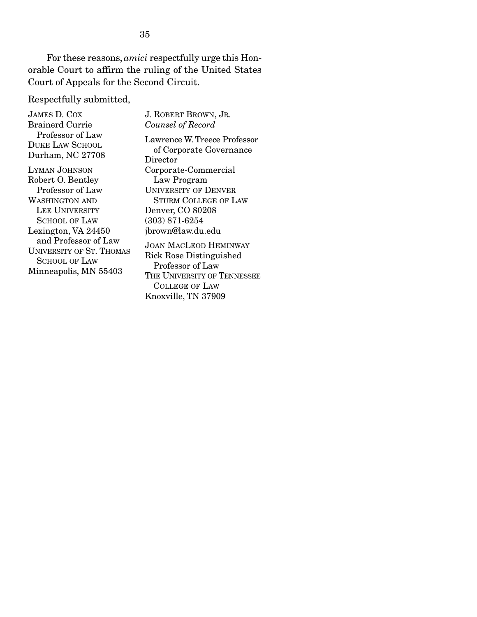For these reasons, *amici* respectfully urge this Honorable Court to affirm the ruling of the United States Court of Appeals for the Second Circuit.

Respectfully submitted,

| <b>JAMES D. COX</b>             |   |
|---------------------------------|---|
| <b>Brainerd Currie</b>          |   |
| Professor of Law                |   |
| <b>DUKE LAW SCHOOL</b>          |   |
| Durham, NC 27708                |   |
| <b>LYMAN JOHNSON</b>            |   |
| Robert O. Bentley               |   |
| Professor of Law                |   |
| <b>WASHINGTON AND</b>           |   |
| LEE UNIVERSITY                  |   |
| <b>SCHOOL OF LAW</b>            |   |
| Lexington, VA 24450             |   |
| and Professor of Law            |   |
| <b>UNIVERSITY OF ST. THOMAS</b> | ċ |
| <b>SCHOOL OF LAW</b>            |   |
| Minneapolis, MN 55403           | ľ |

J. ROBERT BROWN, JR. *Counsel of Record* Lawrence W. Treece Professor of Corporate Governance Director Corporate-Commercial Law Program UNIVERSITY OF DENVER STURM COLLEGE OF LAW Denver, CO 80208 (303) 871-6254 jbrown@law.du.edu JOAN MACLEOD HEMINWAY Rick Rose Distinguished Professor of Law THE UNIVERSITY OF TENNESSEE COLLEGE OF LAW Knoxville, TN 37909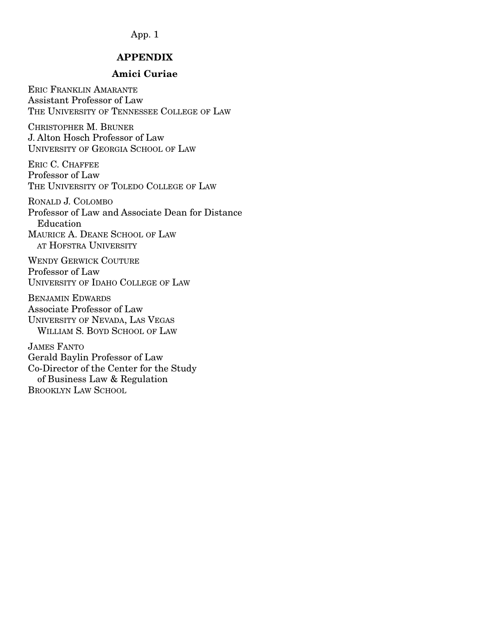#### APPENDIX

#### Amici Curiae

ERIC FRANKLIN AMARANTE Assistant Professor of Law THE UNIVERSITY OF TENNESSEE COLLEGE OF LAW

CHRISTOPHER M. BRUNER J. Alton Hosch Professor of Law UNIVERSITY OF GEORGIA SCHOOL OF LAW

ERIC C. CHAFFEE Professor of Law THE UNIVERSITY OF TOLEDO COLLEGE OF LAW

RONALD J. COLOMBO Professor of Law and Associate Dean for Distance Education MAURICE A. DEANE SCHOOL OF LAW AT HOFSTRA UNIVERSITY

WENDY GERWICK COUTURE Professor of Law UNIVERSITY OF IDAHO COLLEGE OF LAW

BENJAMIN EDWARDS Associate Professor of Law UNIVERSITY OF NEVADA, LAS VEGAS WILLIAM S. BOYD SCHOOL OF LAW

JAMES FANTO Gerald Baylin Professor of Law Co-Director of the Center for the Study of Business Law & Regulation BROOKLYN LAW SCHOOL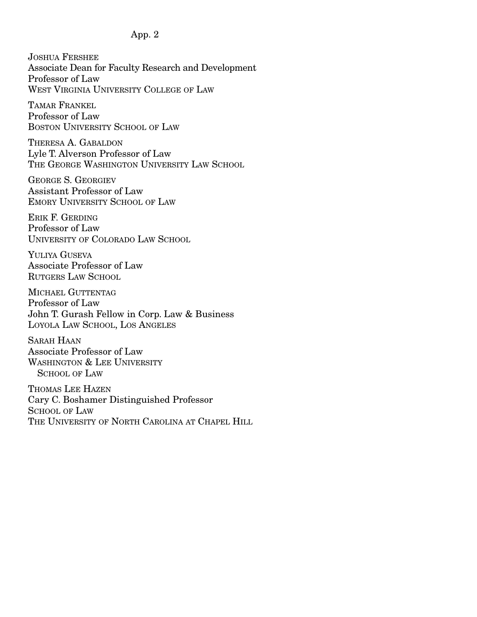JOSHUA FERSHEE Associate Dean for Faculty Research and Development Professor of Law WEST VIRGINIA UNIVERSITY COLLEGE OF LAW

TAMAR FRANKEL Professor of Law BOSTON UNIVERSITY SCHOOL OF LAW

THERESA A. GABALDON Lyle T. Alverson Professor of Law THE GEORGE WASHINGTON UNIVERSITY LAW SCHOOL

GEORGE S. GEORGIEV Assistant Professor of Law EMORY UNIVERSITY SCHOOL OF LAW

ERIK F. GERDING Professor of Law UNIVERSITY OF COLORADO LAW SCHOOL

YULIYA GUSEVA Associate Professor of Law RUTGERS LAW SCHOOL

MICHAEL GUTTENTAG Professor of Law John T. Gurash Fellow in Corp. Law & Business LOYOLA LAW SCHOOL, LOS ANGELES

SARAH HAAN Associate Professor of Law WASHINGTON & LEE UNIVERSITY SCHOOL OF LAW

THOMAS LEE HAZEN Cary C. Boshamer Distinguished Professor SCHOOL OF LAW THE UNIVERSITY OF NORTH CAROLINA AT CHAPEL HILL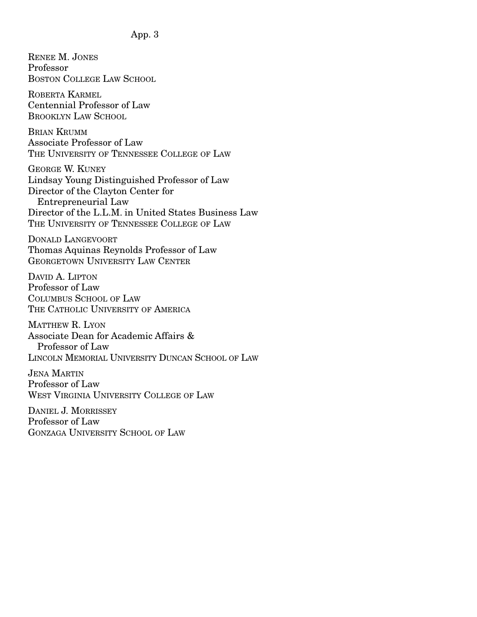RENEE M. JONES Professor BOSTON COLLEGE LAW SCHOOL ROBERTA KARMEL Centennial Professor of Law BROOKLYN LAW SCHOOL BRIAN KRUMM Associate Professor of Law THE UNIVERSITY OF TENNESSEE COLLEGE OF LAW GEORGE W. KUNEY Lindsay Young Distinguished Professor of Law Director of the Clayton Center for Entrepreneurial Law Director of the L.L.M. in United States Business Law THE UNIVERSITY OF TENNESSEE COLLEGE OF LAW DONALD LANGEVOORT Thomas Aquinas Reynolds Professor of Law GEORGETOWN UNIVERSITY LAW CENTER DAVID A. LIPTON Professor of Law COLUMBUS SCHOOL OF LAW THE CATHOLIC UNIVERSITY OF AMERICA MATTHEW R. LYON Associate Dean for Academic Affairs & Professor of Law LINCOLN MEMORIAL UNIVERSITY DUNCAN SCHOOL OF LAW JENA MARTIN Professor of Law WEST VIRGINIA UNIVERSITY COLLEGE OF LAW DANIEL J. MORRISSEY Professor of Law GONZAGA UNIVERSITY SCHOOL OF LAW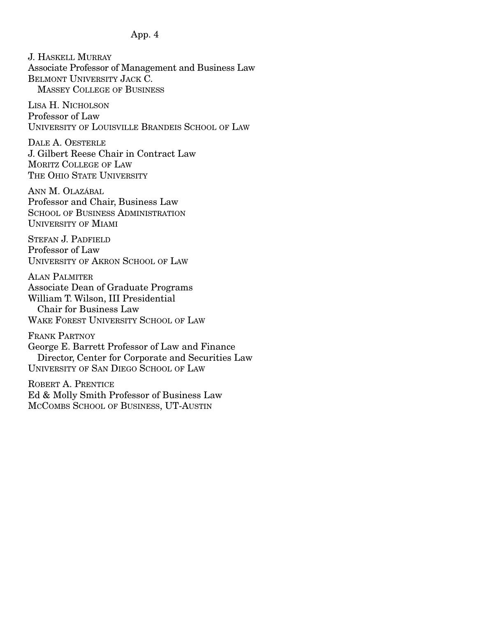J. HASKELL MURRAY Associate Professor of Management and Business Law BELMONT UNIVERSITY JACK C. MASSEY COLLEGE OF BUSINESS

LISA H. NICHOLSON Professor of Law UNIVERSITY OF LOUISVILLE BRANDEIS SCHOOL OF LAW

DALE A. OESTERLE J. Gilbert Reese Chair in Contract Law MORITZ COLLEGE OF LAW THE OHIO STATE UNIVERSITY

ANN M. OLAZÁBAL Professor and Chair, Business Law SCHOOL OF BUSINESS ADMINISTRATION UNIVERSITY OF MIAMI

STEFAN J. PADFIELD Professor of Law UNIVERSITY OF AKRON SCHOOL OF LAW

ALAN PALMITER Associate Dean of Graduate Programs William T. Wilson, III Presidential Chair for Business Law WAKE FOREST UNIVERSITY SCHOOL OF LAW

FRANK PARTNOY George E. Barrett Professor of Law and Finance Director, Center for Corporate and Securities Law UNIVERSITY OF SAN DIEGO SCHOOL OF LAW

ROBERT A. PRENTICE Ed & Molly Smith Professor of Business Law MCCOMBS SCHOOL OF BUSINESS, UT-AUSTIN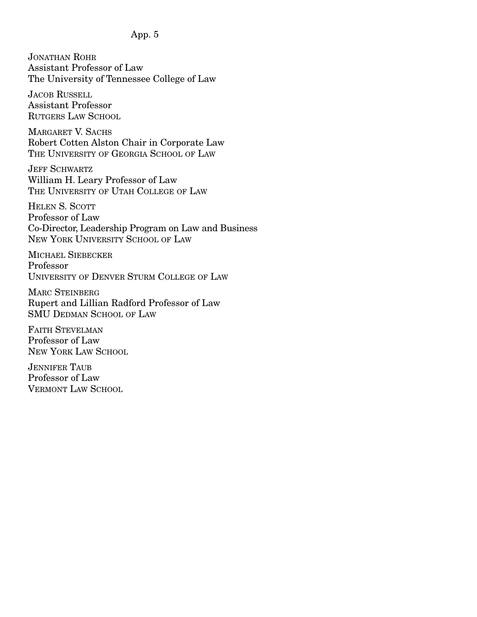JONATHAN ROHR Assistant Professor of Law The University of Tennessee College of Law

JACOB RUSSELL Assistant Professor RUTGERS LAW SCHOOL

MARGARET V. SACHS Robert Cotten Alston Chair in Corporate Law THE UNIVERSITY OF GEORGIA SCHOOL OF LAW

JEFF SCHWARTZ William H. Leary Professor of Law THE UNIVERSITY OF UTAH COLLEGE OF LAW

HELEN S. SCOTT Professor of Law Co-Director, Leadership Program on Law and Business NEW YORK UNIVERSITY SCHOOL OF LAW

MICHAEL SIEBECKER Professor UNIVERSITY OF DENVER STURM COLLEGE OF LAW

MARC STEINBERG Rupert and Lillian Radford Professor of Law SMU DEDMAN SCHOOL OF LAW

FAITH STEVELMAN Professor of Law NEW YORK LAW SCHOOL

JENNIFER TAUB Professor of Law VERMONT LAW SCHOOL